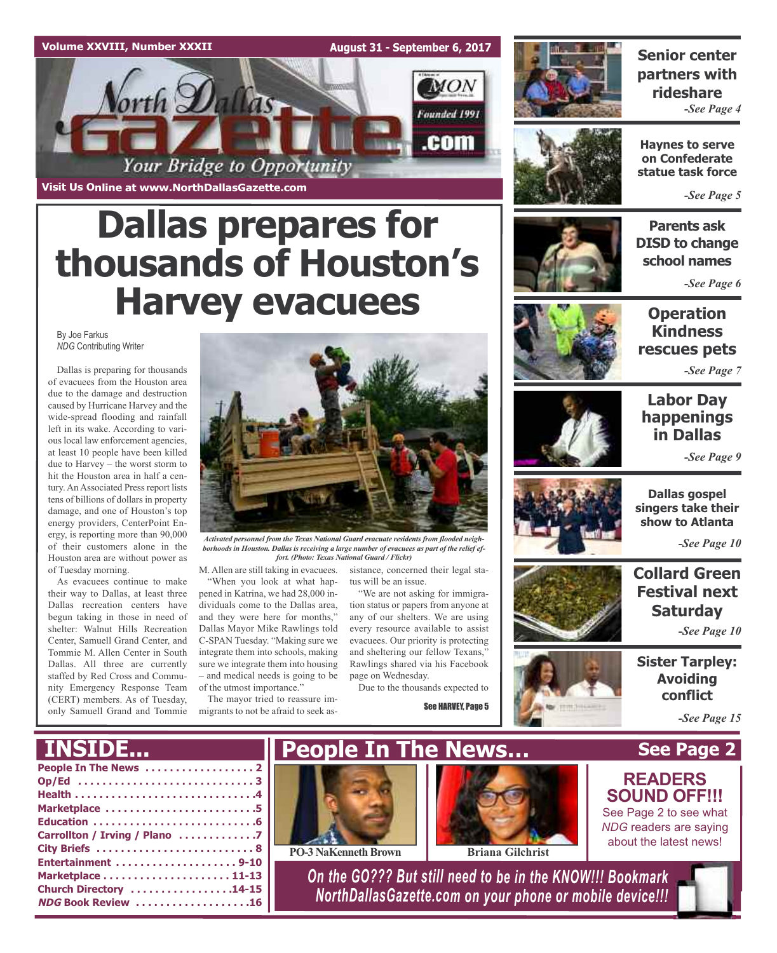#### **Volume XXVIII, Number XXXII**

**August 31 - September 6, 2017**



**Visit Us Online at www.NorthDallasGazette.com**

# **Dallas prepares for thousands of Houston's Harvey evacuees**

By Joe Farkus *NDG* Contributing Writer

Dallas is preparing for thousands of evacuees from the Houston area due to the damage and destruction caused by Hurricane Harvey and the wide-spread flooding and rainfall left in its wake. According to various local law enforcement agencies, at least 10 people have been killed due to Harvey – the worst storm to hit the Houston area in half a century. An Associated Press report lists tens of billions of dollars in property damage, and one of Houston's top energy providers, CenterPoint Energy, is reporting more than 90,000 of their customers alone in the Houston area are without power as of Tuesday morning.

As evacuees continue to make their way to Dallas, at least three Dallas recreation centers have begun taking in those in need of shelter: Walnut Hills Recreation Center, Samuell Grand Center, and Tommie M. Allen Center in South Dallas. All three are currently staffed by Red Cross and Community Emergency Response Team (CERT) members. As of Tuesday, only Samuell Grand and Tommie



*Activated personnel from the Texas National Guard evacuate residents from flooded neighborhoods in Houston. Dallas is receiving a large number of evacuees as part of the relief effort. (Photo: Texas National Guard / Flickr)*

sistance, concerned their legal sta-

"We are not asking for immigration status or papers from anyone at any of our shelters. We are using every resource available to assist evacuees. Our priority is protecting and sheltering our fellow Texans,' Rawlings shared via his Facebook

Due to the thousands expected to

See HARVEY, Page 5

tus will be an issue.

page on Wednesday.

M. Allen are still taking in evacuees. "When you look at what hap-

pened in Katrina, we had 28,000 individuals come to the Dallas area, and they were here for months," Dallas Mayor Mike Rawlings told C-SPAN Tuesday. "Making sure we integrate them into schools, making sure we integrate them into housing – and medical needs is going to be of the utmost importance."

The mayor tried to reassure immigrants to not be afraid to seek as-



### **Senior center partners with rideshare** *-See Page 4*



**Haynes to serve on Confederate statue task force**

*-See Page 5*



**Parents ask DISD to change school names**

*-See Page 6*

### **Operation Kindness rescues pets**

*-See Page 7*

### **Labor Day happenings in Dallas**

*-See Page 9*



**Dallas gospel singers take their show to Atlanta**

*-See Page 10*

### **Collard Green Festival next Saturday**

*-See Page 10*

**Sister Tarpley: Avoiding conflict**

**See Page 2**

*-See Page 15*

### **INSIDE...**



**PO-3 NaKenneth Brown Briana Gilchrist** 



*On the GO??? But still need to be in the KNOW!!! Bookmark NorthDallasGazette.com on your phone or mobile device!!!*

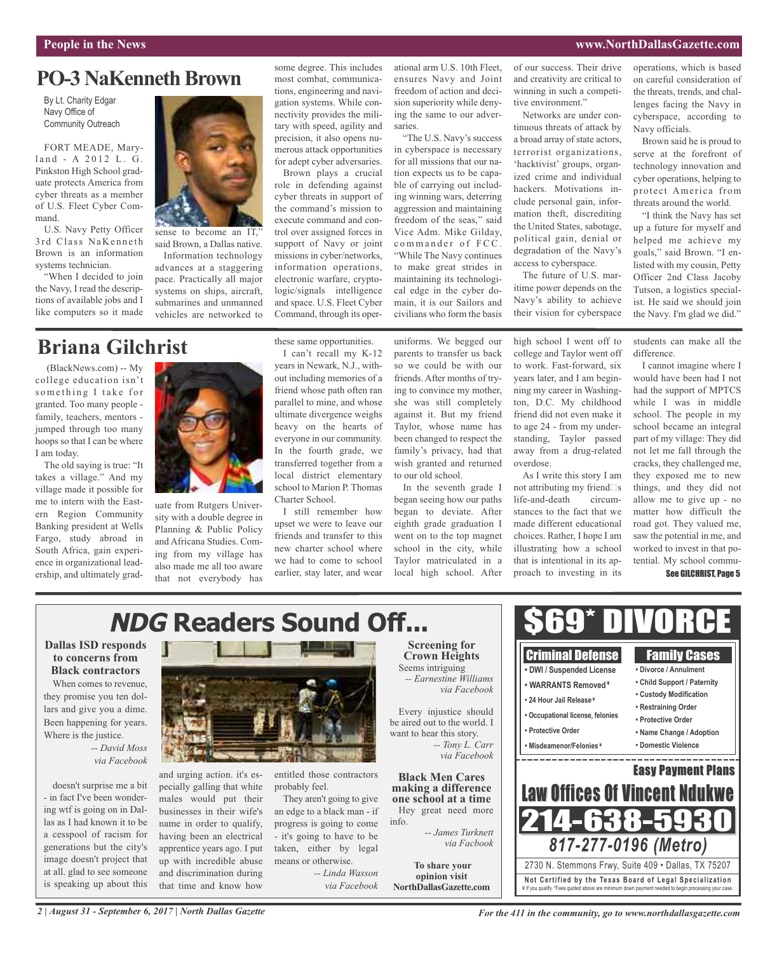#### **People in the News www.NorthDallasGazette.com**

### **PO-3 NaKenneth Brown**

By Lt. Charity Edgar Navy Office of Community Outreach

FORT MEADE, Maryland - A 2012 L. G. Pinkston High School graduate protects America from cyber threats as a member of U.S. Fleet Cyber Command.

U.S. Navy Petty Officer 3rd Class NaKenneth Brown is an information systems technician.

"When I decided to join the Navy, I read the descriptions of available jobs and I like computers so it made



sense to become an IT, said Brown, a Dallas native. Information technology advances at a staggering pace. Practically all major systems on ships, aircraft, submarines and unmanned vehicles are networked to

### **Briana Gilchrist**

(BlackNews.com) -- My college education isn't something I take for granted. Too many people family, teachers, mentors jumped through too many hoops so that I can be where I am today.

The old saying is true: "It takes a village." And my village made it possible for me to intern with the Eastern Region Community Banking president at Wells Fargo, study abroad in South Africa, gain experience in organizational leadership, and ultimately grad-



uate from Rutgers University with a double degree in Planning & Public Policy and Africana Studies. Coming from my village has also made me all too aware that not everybody has some degree. This includes most combat, communications, engineering and navigation systems. While connectivity provides the military with speed, agility and precision, it also opens numerous attack opportunities for adept cyber adversaries.

Brown plays a crucial role in defending against cyber threats in support of the command's mission to execute command and control over assigned forces in support of Navy or joint missions in cyber/networks, information operations, electronic warfare, cryptologic/signals intelligence and space. U.S. Fleet Cyber Command, through its oper-

these same opportunities. I can't recall my K-12

Charter School.

earlier, stay later, and wear

ational arm U.S. 10th Fleet, ensures Navy and Joint freedom of action and decision superiority while denying the same to our adversaries.

"The U.S. Navy's success in cyberspace is necessary for all missions that our nation expects us to be capable of carrying out including winning wars, deterring aggression and maintaining freedom of the seas," said Vice Adm. Mike Gilday, commander of FCC. "While The Navy continues to make great strides in maintaining its technological edge in the cyber domain, it is our Sailors and civilians who form the basis

uniforms. We begged our parents to transfer us back so we could be with our friends. After months of trying to convince my mother, she was still completely against it. But my friend Taylor, whose name has been changed to respect the family's privacy, had that wish granted and returned to our old school.

began seeing how our paths began to deviate. After eighth grade graduation I went on to the top magnet school in the city, while Taylor matriculated in a local high school. After of our success. Their drive and creativity are critical to winning in such a competitive environment."

Networks are under continuous threats of attack by a broad array of state actors, terrorist organizations, 'hacktivist' groups, organized crime and individual hackers. Motivations include personal gain, information theft, discrediting the United States, sabotage, political gain, denial or degradation of the Navy's access to cyberspace.

The future of U.S. maritime power depends on the Navy's ability to achieve their vision for cyberspace

high school I went off to college and Taylor went off to work. Fast-forward, six years later, and I am beginning my career in Washington, D.C. My childhood friend did not even make it to age 24 - from my understanding, Taylor passed away from a drug-related overdose.

As I write this story I am not attributing my friend  $\Box$ s life-and-death circumstances to the fact that we made different educational choices. Rather, I hope I am illustrating how a school that is intentional in its approach to investing in its

> Criminal Defense **• DWI / Suspended License • WARRANTS Removed ¥**

operations, which is based on careful consideration of the threats, trends, and challenges facing the Navy in cyberspace, according to Navy officials.

Brown said he is proud to serve at the forefront of technology innovation and cyber operations, helping to protect America from threats around the world.

"I think the Navy has set up a future for myself and helped me achieve my goals," said Brown. "I enlisted with my cousin, Petty Officer 2nd Class Jacoby Tutson, a logistics specialist. He said we should join the Navy. I'm glad we did."

students can make all the difference.

I cannot imagine where I would have been had I not had the support of MPTCS while I was in middle school. The people in my school became an integral part of my village: They did not let me fall through the cracks, they challenged me, they exposed me to new things, and they did not allow me to give up - no matter how difficult the road got. They valued me, saw the potential in me, and worked to invest in that potential. My school commu-

#### See GILCHRIST, Page 5

Family Cases **• Divorce / Annulment • Child Support / Paternity**

### **NDG Readers Sound Off...**

#### **Dallas ISD responds to concerns from Black contractors**

When comes to revenue, they promise you ten dollars and give you a dime. Been happening for years. Where is the justice.

> *-- David Moss via Facebook*

doesn't surprise me a bit - in fact I've been wondering wtf is going on in Dallas as I had known it to be a cesspool of racism for generations but the city's image doesn't project that at all. glad to see someone is speaking up about this



and urging action. it's especially galling that white males would put their businesses in their wife's name in order to qualify, having been an electrical apprentice years ago. I put up with incredible abuse and discrimination during that time and know how

entitled those contractors probably feel.

They aren't going to give an edge to a black man - if progress is going to come - it's going to have to be taken, either by legal means or otherwise.

*-- Linda Wasson via Facebook*

#### **Screening for Crown Heights** Seems intriguing *-- Earnestine Williams via Facebook*

Every injustice should be aired out to the world. I want to hear this story. *-- Tony L. Carr via Facebook*

**Black Men Cares**

**making a difference one school at a time** Hey great need more info. *-- James Turknett*

> **To share your opinion visit**

**• Custody Modification • 24 Hour Jail Release ¥ • Restraining Order • Occupational license, felonies • Protective Order • Protective Order • Name Change / Adoption • Misdeamenor/Felonies ¥ • Domestic Violence** <u>the contract of the contract of the contract of the contract of the contract of the contract of the contract of the contract of the contract of the contract of the contract of the contract of the contract of the contract </u> Easy Payment Plans Law Offices Of Vincent Ndu 14-63 *817-277-0196 (Metro) via Facbook* 2730 N. Stemmons Frwy, Suite 409 • Dallas, TX 75207 **Not Ce rtified by the Te x a s Boa rd of Lega l Spe c ia l i za tion NorthDallasGazette.com** ¥ If you qualify. \*Fees quoted above are minimum down payment needed to begin processing your case.

\$69\* DIVORCE

*2 | August 31 - September 6, 2017 | North Dallas Gazette*

*For the 411 in the community, go to www.northdallasgazette.com*

years in Newark, N.J., without including memories of a friend whose path often ran parallel to mine, and whose

ultimate divergence weighs heavy on the hearts of everyone in our community. In the fourth grade, we transferred together from a

local district elementary school to Marion P. Thomas I still remember how upset we were to leave our friends and transfer to this new charter school where we had to come to school In the seventh grade I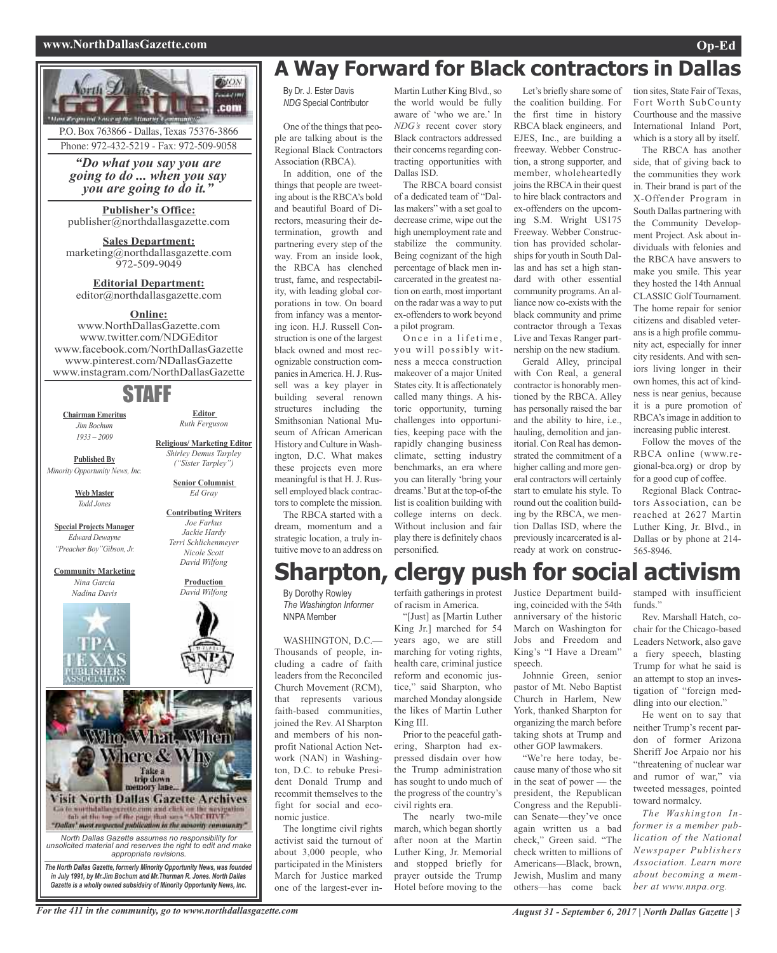#### **www.NorthDallasGazette.com Op-Ed**





### **A Way Forward for Black contractors in Dallas**

By Dr. J. Ester Davis *NDG* Special Contributor

One of the things that people are talking about is the Regional Black Contractors Association (RBCA).

In addition, one of the things that people are tweeting about is the RBCA's bold and beautiful Board of Directors, measuring their determination, growth and partnering every step of the way. From an inside look, the RBCA has clenched trust, fame, and respectability, with leading global corporations in tow. On board from infancy was a mentoring icon. H.J. Russell Construction is one of the largest black owned and most recognizable construction companies in America. H. J. Russell was a key player in building several renown structures including the Smithsonian National Museum of African American History and Culture inWashington, D.C. What makes these projects even more meaningful is that H. J. Russell employed black contractors to complete the mission.

The RBCA started with a dream, momentum and a strategic location, a truly intuitive move to an address on

By Dorothy Rowley *The Washington Informer* NNPA Member

WASHINGTON, D.C.— Thousands of people, including a cadre of faith leaders from the Reconciled Church Movement (RCM), that represents various faith-based communities, joined the Rev. Al Sharpton and members of his nonprofit National Action Network (NAN) in Washington, D.C. to rebuke President Donald Trump and recommit themselves to the fight for social and economic justice.

The longtime civil rights activist said the turnout of about 3,000 people, who participated in the Ministers March for Justice marked one of the largest-ever inMartin Luther King Blvd., so the world would be fully aware of 'who we are.' In *NDG's* recent cover story Black contractors addressed their concerns regarding contracting opportunities with Dallas ISD.

The RBCA board consist of a dedicated team of "Dallas makers" with a set goal to decrease crime, wipe out the high unemployment rate and stabilize the community. Being cognizant of the high percentage of black men incarcerated in the greatest nation on earth, most important on the radar was a way to put ex-offenders to work beyond a pilot program.

Once in a lifetime, you will possibly witness a mecca construction makeover of a major United States city. It is affectionately called many things. A historic opportunity, turning challenges into opportunities, keeping pace with the rapidly changing business climate, setting industry benchmarks, an era where you can literally 'bring your dreams.'But at the top-of-the list is coalition building with college interns on deck. Without inclusion and fair play there is definitely chaos personified.

Let's briefly share some of the coalition building. For the first time in history RBCA black engineers, and EJES, Inc., are building a freeway. Webber Construction, a strong supporter, and member, wholeheartedly joins the RBCA in their quest to hire black contractors and ex-offenders on the upcoming S.M. Wright US175 Freeway. Webber Construction has provided scholarships for youth in South Dallas and has set a high standard with other essential community programs.An alliance now co-exists with the black community and prime contractor through a Texas Live and Texas Ranger partnership on the new stadium.

Gerald Alley, principal with Con Real, a general contractor is honorably mentioned by the RBCA. Alley has personally raised the bar and the ability to hire, i.e., hauling, demolition and janitorial. Con Real has demonstrated the commitment of a higher calling and more general contractors will certainly start to emulate his style. To round out the coalition building by the RBCA, we mention Dallas ISD, where the previously incarcerated is already at work on construc-

tion sites, State Fair of Texas, Fort Worth SubCounty Courthouse and the massive International Inland Port, which is a story all by itself.

The RBCA has another side, that of giving back to the communities they work in. Their brand is part of the X-Offender Program in South Dallas partnering with the Community Development Project. Ask about individuals with felonies and the RBCA have answers to make you smile. This year they hosted the 14th Annual CLASSIC Golf Tournament. The home repair for senior citizens and disabled veterans is a high profile community act, especially for inner city residents. And with seniors living longer in their own homes, this act of kindness is near genius, because it is a pure promotion of RBCA'simage in addition to increasing public interest.

Follow the moves of the RBCA online (www.regional-bca.org) or drop by for a good cup of coffee.

Regional Black Contractors Association, can be reached at 2627 Martin Luther King, Jr. Blvd., in Dallas or by phone at 214- 565-8946.

### **Sharpton, clergy push for social activism**

terfaith gatherings in protest of racism in America.

"[Just] as [Martin Luther King Jr.] marched for 54 years ago, we are still marching for voting rights, health care, criminal justice reform and economic justice," said Sharpton, who marched Monday alongside the likes of Martin Luther King III.

Prior to the peaceful gathering, Sharpton had expressed disdain over how the Trump administration has sought to undo much of the progress of the country's civil rights era.

The nearly two-mile march, which began shortly after noon at the Martin Luther King, Jr. Memorial and stopped briefly for prayer outside the Trump Hotel before moving to the

Justice Department building, coincided with the 54th anniversary of the historic March on Washington for Jobs and Freedom and King's "I Have a Dream" speech.

Johnnie Green, senior pastor of Mt. Nebo Baptist Church in Harlem, New York, thanked Sharpton for organizing the march before taking shots at Trump and other GOP lawmakers.

"We're here today, because many of those who sit in the seat of power — the president, the Republican Congress and the Republican Senate—they've once again written us a bad check," Green said. "The check written to millions of Americans—Black, brown, Jewish, Muslim and many others—has come back

stamped with insufficient funds.'

Rev. Marshall Hatch, cochair for the Chicago-based Leaders Network, also gave a fiery speech, blasting Trump for what he said is an attempt to stop an investigation of "foreign meddling into our election."

He went on to say that neither Trump's recent pardon of former Arizona Sheriff Joe Arpaio nor his "threatening of nuclear war and rumor of war," via tweeted messages, pointed toward normalcy.

*The Washington Informer is a member publication of the National Newspaper Publishers Association. Learn more about becoming a member at www.nnpa.org.*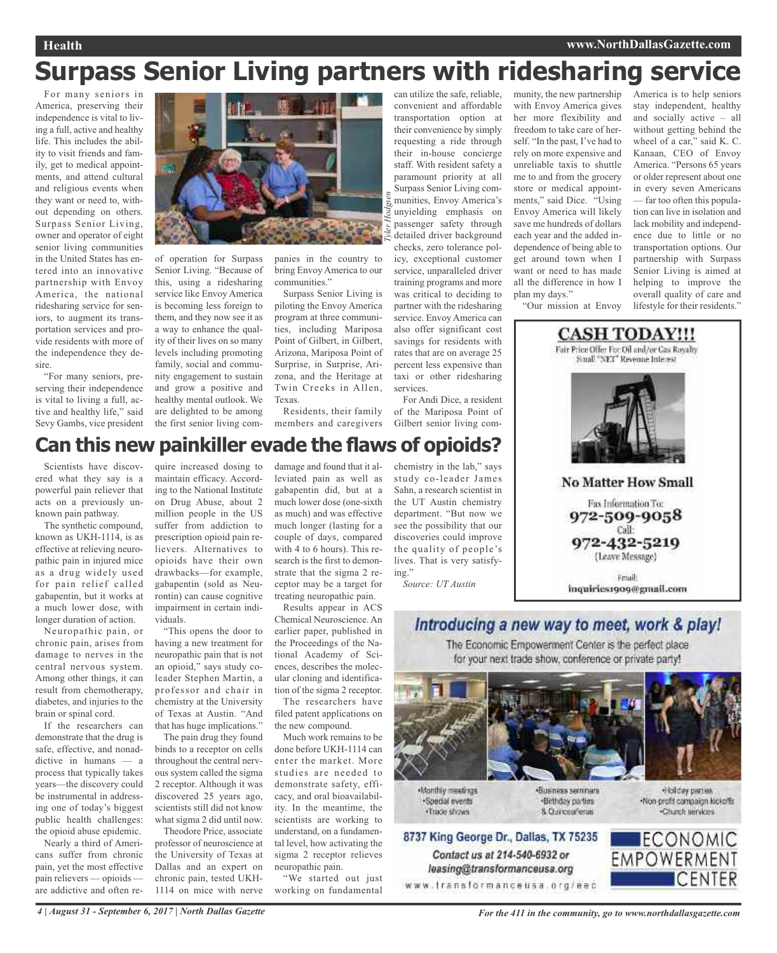#### **Health www.NorthDallasGazette.com**

## **Surpass Senior Living partners with ridesharing service**

For many seniors in America, preserving their independence is vital to living a full, active and healthy life. This includes the ability to visit friends and family, get to medical appointments, and attend cultural and religious events when they want or need to, without depending on others. Surpass Senior Living, owner and operator of eight senior living communities in the United States has entered into an innovative partnership with Envoy America, the national ridesharing service for seniors, to augment its transportation services and provide residents with more of the independence they desire.

"For many seniors, preserving their independence is vital to living a full, active and healthy life," said Sevy Gambs, vice president



of operation for Surpass Senior Living. "Because of this, using a ridesharing service like Envoy America is becoming less foreign to them, and they now see it as a way to enhance the quality of their lives on so many levels including promoting family, social and community engagement to sustain and grow a positive and healthy mental outlook. We are delighted to be among the first senior living com-

panies in the country to bring Envoy America to our communities."

Surpass Senior Living is piloting the Envoy America program at three communities, including Mariposa Point of Gilbert, in Gilbert, Arizona, Mariposa Point of Surprise, in Surprise, Arizona, and the Heritage at Twin Creeks in Allen, Texas.

Residents, their family members and caregivers Gilbert senior living com-

can utilize the safe, reliable, convenient and affordable transportation option at their convenience by simply requesting a ride through their in-house concierge staff. With resident safety a paramount priority at all Surpass Senior Living communities, Envoy America's unyielding emphasis on passenger safety through detailed driver background checks, zero tolerance policy, exceptional customer service, unparalleled driver training programs and more was critical to deciding to partner with the ridesharing service. Envoy America can also offer significant cost savings for residents with rates that are on average 25 percent less expensive than taxi or other ridesharing

For Andi Dice, a resident of the Mariposa Point of

services.

munity, the new partnership with Envoy America gives her more flexibility and freedom to take care of herself. "In the past, I've had to rely on more expensive and unreliable taxis to shuttle me to and from the grocery store or medical appointments," said Dice. "Using Envoy America will likely save me hundreds of dollars each year and the added independence of being able to get around town when I want or need to has made all the difference in how I plan my days."

America is to help seniors stay independent, healthy and socially active – all without getting behind the wheel of a car," said K. C. Kanaan, CEO of Envoy America. "Persons 65 years or older represent about one in every seven Americans — far too often this population can live in isolation and lack mobility and independence due to little or no transportation options. Our partnership with Surpass Senior Living is aimed at helping to improve the overall quality of care and lifestyle for their residents."





### **Can this new painkiller evade the flaws of opioids?**

Scientists have discovered what they say is a powerful pain reliever that acts on a previously unknown pain pathway.

The synthetic compound, known as UKH-1114, is as effective at relieving neuropathic pain in injured mice as a drug widely used for pain relief called gabapentin, but it works at a much lower dose, with longer duration of action.

Neuropathic pain, or chronic pain, arises from damage to nerves in the central nervous system. Among other things, it can result from chemotherapy, diabetes, and injuries to the brain or spinal cord.

If the researchers can demonstrate that the drug is safe, effective, and nonaddictive in humans — a process that typically takes years—the discovery could be instrumental in addressing one of today's biggest public health challenges: the opioid abuse epidemic.

Nearly a third of Americans suffer from chronic pain, yet the most effective pain relievers — opioids are addictive and often re-

quire increased dosing to maintain efficacy. According to the National Institute on Drug Abuse, about 2 million people in the US suffer from addiction to prescription opioid pain relievers. Alternatives to opioids have their own drawbacks—for example, gabapentin (sold as Neurontin) can cause cognitive impairment in certain individuals.

"This opens the door to having a new treatment for neuropathic pain that is not an opioid," says study coleader Stephen Martin, a professor and chair in chemistry at the University of Texas at Austin. "And that has huge implications."

The pain drug they found binds to a receptor on cells throughout the central nervous system called the sigma 2 receptor. Although it was discovered 25 years ago, scientists still did not know what sigma 2 did until now.

Theodore Price, associate professor of neuroscience at the University of Texas at Dallas and an expert on chronic pain, tested UKH-1114 on mice with nerve

damage and found that it alleviated pain as well as gabapentin did, but at a much lower dose (one-sixth as much) and was effective much longer (lasting for a couple of days, compared with 4 to 6 hours). This research is the first to demonstrate that the sigma 2 receptor may be a target for treating neuropathic pain.

Results appear in ACS Chemical Neuroscience. An earlier paper, published in the Proceedings of the National Academy of Sciences, describes the molecular cloning and identification of the sigma 2 receptor.

The researchers have filed patent applications on the new compound.

Much work remains to be done before UKH-1114 can enter the market. More studies are needed to demonstrate safety, efficacy, and oral bioavailability. In the meantime, the scientists are working to understand, on a fundamental level, how activating the sigma 2 receptor relieves neuropathic pain.

"We started out just working on fundamental chemistry in the lab," says study co-leader James Sahn, a research scientist in the UT Austin chemistry department. "But now we see the possibility that our discoveries could improve the quality of people's lives. That is very satisfying."

*Source: UT Austin*



8737 King George Dr., Dallas, TX 75235 Contact us at 214-540-6932 or leasing@transformanceusa.org www.fransformanceusa.org/eec

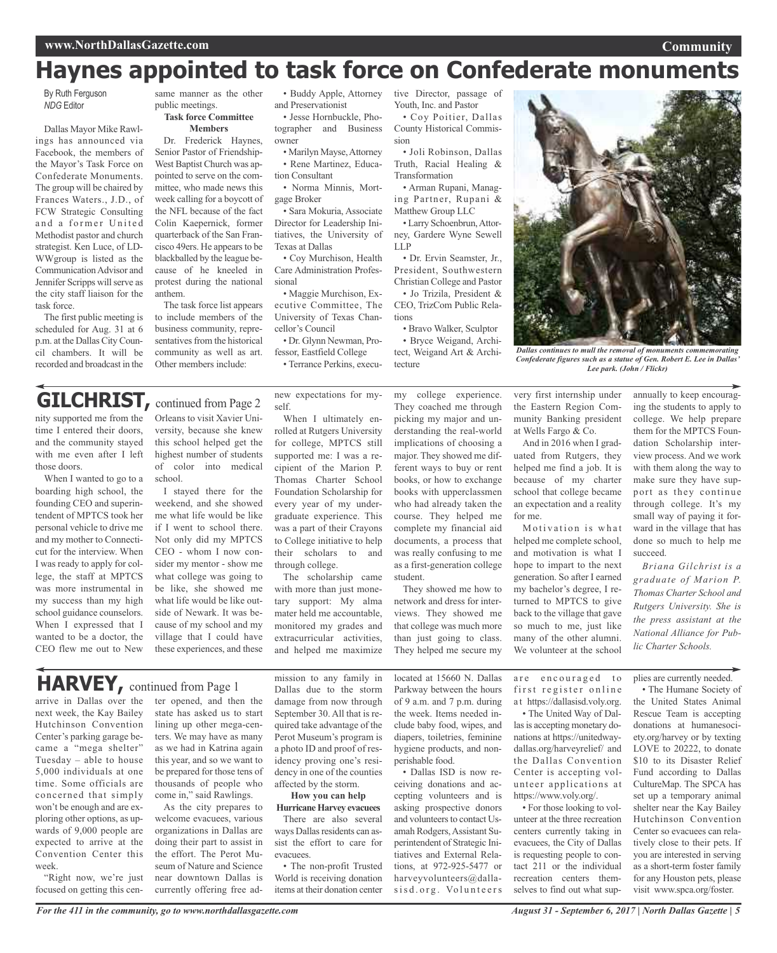### **Haynes appointed to task force on Confederate monuments**

By Ruth Ferguson *NDG* Editor

Dallas Mayor Mike Rawlings has announced via Facebook, the members of the Mayor's Task Force on Confederate Monuments. The group will be chaired by Frances Waters., J.D., of FCW Strategic Consulting and a former United Methodist pastor and church strategist. Ken Luce, of LD-WWgroup is listed as the Communication Advisor and Jennifer Scripps will serve as the city staff liaison for the task force.

The first public meeting is scheduled for Aug. 31 at 6 p.m. at the Dallas City Council chambers. It will be recorded and broadcast in the

same manner as the other public meetings.

**Task force Committee Members**

Dr. Frederick Haynes, Senior Pastor of Friendship-West Baptist Church was appointed to serve on the committee, who made news this week calling for a boycott of the NFL because of the fact Colin Kaepernick, former quarterback of the San Francisco 49ers. He appears to be blackballed by the league because of he kneeled in protest during the national anthem.

The task force list appears to include members of the business community, representatives from the historical community as well as art. Other members include:

• Buddy Apple, Attorney and Preservationist

• Jesse Hornbuckle, Photographer and Business owner

• Marilyn Mayse,Attorney • Rene Martinez, Education Consultant

• Norma Minnis, Mortgage Broker

• Sara Mokuria, Associate Director for Leadership Initiatives, the University of Texas at Dallas • Coy Murchison, Health

Care Administration Professional

• Maggie Murchison, Executive Committee, The University of Texas Chancellor's Council

• Dr. Glynn Newman, Professor, Eastfield College

• Terrance Perkins, execu-

tive Director, passage of Youth, Inc. and Pastor

• Coy Poitier, Dallas County Historical Commission

• Joli Robinson, Dallas Truth, Racial Healing & Transformation

• Arman Rupani, Managing Partner, Rupani & Matthew Group LLC • Larry Schoenbrun,Attor-

ney, Gardere Wyne Sewell LLP • Dr. Ervin Seamster, Jr.,

President, Southwestern Christian College and Pastor • Jo Trizila, President &

CEO, TrizCom Public Relations • Bravo Walker, Sculptor

• Bryce Weigand, Archi-

tect, Weigand Art & Architecture



*Dallas continues to mull the removal of monuments commemorating Confederate figures such as a statue of Gen. Robert E. Lee in Dallas' Lee park. (John / Flickr)*

### **GILCHRIST, continued from Page 2**

nity supported me from the time I entered their doors, and the community stayed with me even after I left those doors.

When I wanted to go to a boarding high school, the founding CEO and superintendent of MPTCS took her personal vehicle to drive me and my mother to Connecticut for the interview. When I was ready to apply for college, the staff at MPTCS was more instrumental in my success than my high school guidance counselors. When I expressed that I wanted to be a doctor, the CEO flew me out to New

Orleans to visit Xavier University, because she knew this school helped get the highest number of students of color into medical school.

I stayed there for the weekend, and she showed me what life would be like if I went to school there. Not only did my MPTCS CEO - whom I now consider my mentor - show me what college was going to be like, she showed me what life would be like outside of Newark. It was because of my school and my village that I could have these experiences, and these

new expectations for myself.

When I ultimately enrolled at Rutgers University for college, MPTCS still supported me: I was a recipient of the Marion P. Thomas Charter School Foundation Scholarship for every year of my undergraduate experience. This was a part of their Crayons to College initiative to help their scholars to and through college.

The scholarship came with more than just monetary support: My alma mater held me accountable, monitored my grades and extracurricular activities, and helped me maximize my college experience. They coached me through picking my major and understanding the real-world implications of choosing a major. They showed me different ways to buy or rent books, or how to exchange books with upperclassmen who had already taken the course. They helped me complete my financial aid documents, a process that was really confusing to me as a first-generation college student.

They showed me how to network and dress for interviews. They showed me that college was much more than just going to class. They helped me secure my

very first internship under the Eastern Region Community Banking president at Wells Fargo & Co.

And in 2016 when I graduated from Rutgers, they helped me find a job. It is because of my charter school that college became an expectation and a reality for me.

Motivation is what helped me complete school, and motivation is what I hope to impart to the next generation. So after I earned my bachelor's degree, I returned to MPTCS to give back to the village that gave so much to me, just like many of the other alumni. We volunteer at the school

annually to keep encouraging the students to apply to college. We help prepare them for the MPTCS Foundation Scholarship interview process. And we work with them along the way to make sure they have support as they continue through college. It's my small way of paying it forward in the village that has done so much to help me succeed.

*Briana Gilchrist is a graduate of Marion P. Thomas Charter School and Rutgers University. She is the press assistant at the National Alliance for Public Charter Schools.*

**HARVEY,** continued from Page <sup>1</sup>

arrive in Dallas over the next week, the Kay Bailey Hutchinson Convention Center's parking garage became a "mega shelter" Tuesday – able to house 5,000 individuals at one time. Some officials are concerned that simply won't be enough and are exploring other options, as upwards of 9,000 people are expected to arrive at the Convention Center this week.

"Right now, we're just focused on getting this cen-

ter opened, and then the state has asked us to start lining up other mega-centers. We may have as many as we had in Katrina again this year, and so we want to be prepared for those tens of thousands of people who come in," said Rawlings.

As the city prepares to welcome evacuees, various organizations in Dallas are doing their part to assist in the effort. The Perot Museum of Nature and Science near downtown Dallas is currently offering free admission to any family in Dallas due to the storm damage from now through September 30. All that is required take advantage of the Perot Museum's program is a photo ID and proof of residency proving one's residency in one of the counties affected by the storm.

#### **How you can help Hurricane Harvey** evacuees

There are also several ways Dallas residents can assist the effort to care for evacuees.

• The non-profit Trusted World is receiving donation items at their donation center

located at 15660 N. Dallas Parkway between the hours of 9 a.m. and 7 p.m. during the week. Items needed include baby food, wipes, and diapers, toiletries, feminine hygiene products, and nonperishable food.

• Dallas ISD is now receiving donations and accepting volunteers and is asking prospective donors and volunteers to contact Usamah Rodgers,Assistant Superintendent of Strategic Initiatives and External Relations, at 972-925-5477 or harveyvolunteers@dallasisd.org. Volunteers

are encouraged to first register online a t https://dallasisd.voly.org.

• The United Way of Dallas is accepting monetary donations at https://unitedwaydallas.org/harveyrelief/ and the Dallas Convention Center is accepting volunteer applications at https://www.voly.org/.

• For those looking to volunteer at the three recreation centers currently taking in evacuees, the City of Dallas is requesting people to contact 211 or the individual recreation centers themselves to find out what supplies are currently needed.

• The Humane Society of the United States Animal Rescue Team is accepting donations at humanesociety.org/harvey or by texting LOVE to 20222, to donate \$10 to its Disaster Relief Fund according to Dallas CultureMap. The SPCA has set up a temporary animal shelter near the Kay Bailey Hutchinson Convention Center so evacuees can relatively close to their pets. If you are interested in serving as a short-term foster family for any Houston pets, please visit www.spca.org/foster.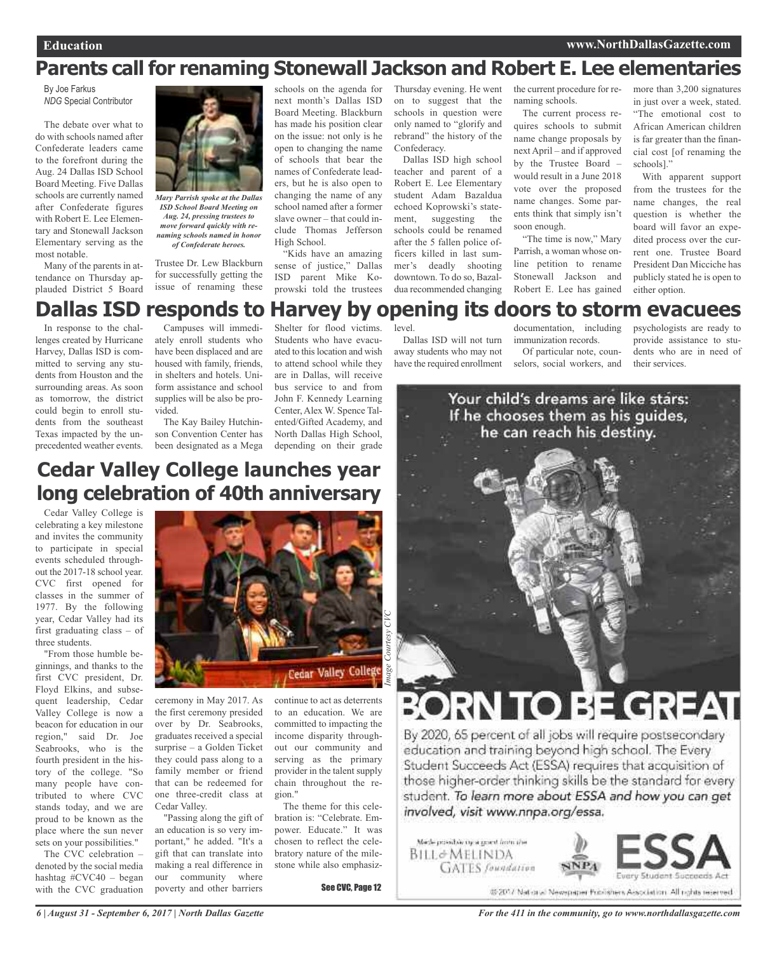### **Parents call for renaming Stonewall Jackson and Robert E. Lee elementaries**

By Joe Farkus *NDG* Special Contributor

The debate over what to do with schools named after Confederate leaders came to the forefront during the Aug. 24 Dallas ISD School Board Meeting. Five Dallas schools are currently named after Confederate figures with Robert E. Lee Elementary and Stonewall Jackson Elementary serving as the most notable.

Many of the parents in attendance on Thursday applauded District 5 Board



*Mary Parrish spoke at the Dallas ISD School Board Meeting on Aug. 24, pressing trustees to move forward quickly with renaming schools named in honor of Confederate heroes.*

Trustee Dr. Lew Blackburn for successfully getting the issue of renaming these schools on the agenda for next month's Dallas ISD Board Meeting. Blackburn has made his position clear on the issue: not only is he open to changing the name of schools that bear the names of Confederate leaders, but he is also open to changing the name of any school named after a former slave owner – that could include Thomas Jefferson High School.

"Kids have an amazing sense of justice," Dallas ISD parent Mike Koprowski told the trustees

Thursday evening. He went on to suggest that the schools in question were only named to "glorify and rebrand" the history of the Confederacy.

Dallas ISD high school teacher and parent of a Robert E. Lee Elementary student Adam Bazaldua echoed Koprowski's statement, suggesting the schools could be renamed after the 5 fallen police officers killed in last summer's deadly shooting downtown. To do so, Bazaldua recommended changing

the current procedure for renaming schools.

The current process requires schools to submit name change proposals by next April – and if approved by the Trustee Board – would result in a June 2018 vote over the proposed name changes. Some parents think that simply isn't soon enough.

"The time is now," Mary Parrish, a woman whose online petition to rename Stonewall Jackson and Robert E. Lee has gained

more than 3,200 signatures in just over a week, stated. "The emotional cost to African American children is far greater than the financial cost [of renaming the schools]."

With apparent support from the trustees for the name changes, the real question is whether the board will favor an expedited process over the current one. Trustee Board President Dan Micciche has publicly stated he is open to either option.

### **Dallas ISD responds to Harvey by opening its doors to storm evacuees**

In response to the challenges created by Hurricane Harvey, Dallas ISD is committed to serving any students from Houston and the surrounding areas. As soon as tomorrow, the district could begin to enroll students from the southeast Texas impacted by the unprecedented weather events.

Campuses will immediately enroll students who have been displaced and are housed with family, friends, in shelters and hotels. Uniform assistance and school supplies will be also be provided.

The Kay Bailey Hutchinson Convention Center has been designated as a Mega

Shelter for flood victims. Students who have evacuated to this location and wish to attend school while they are in Dallas, will receive bus service to and from John F. Kennedy Learning Center, Alex W. Spence Talented/Gifted Academy, and North Dallas High School, depending on their grade

level.

Dallas ISD will not turn away students who may not have the required enrollment

documentation, including immunization records. Of particular note, counselors, social workers, and

psychologists are ready to provide assistance to students who are in need of their services.



### **Cedar Valley College launches year long celebration of 40th anniversary**

Cedar Valley College is celebrating a key milestone and invites the community to participate in special events scheduled throughout the 2017-18 school year. CVC first opened for classes in the summer of 1977. By the following year, Cedar Valley had its first graduating class – of three students.

"From those humble beginnings, and thanks to the first CVC president, Dr. Floyd Elkins, and subsequent leadership, Cedar Valley College is now a beacon for education in our region," said Dr. Joe Seabrooks, who is the fourth president in the history of the college. "So many people have contributed to where CVC stands today, and we are proud to be known as the place where the sun never sets on your possibilities."

The CVC celebration – denoted by the social media hashtag #CVC40 – began with the CVC graduation



ceremony in May 2017. As the first ceremony presided over by Dr. Seabrooks, graduates received a special surprise – a Golden Ticket they could pass along to a family member or friend that can be redeemed for one three-credit class at Cedar Valley.

"Passing along the gift of an education is so very important," he added. "It's a gift that can translate into making a real difference in our community where poverty and other barriers

continue to act as deterrents to an education. We are committed to impacting the income disparity throughout our community and serving as the primary provider in the talent supply chain throughout the region."

The theme for this celebration is: "Celebrate. Empower. Educate." It was chosen to reflect the celebratory nature of the milestone while also emphasiz-

See CVC, Page 12

# DRN TO BE GREAT

By 2020, 65 percent of all jobs will require postsecondary education and training beyond high school. The Every Student Succeeds Act (ESSA) requires that acquisition of those higher-order thinking skills be the standard for every student. To learn more about ESSA and how you can get involved, visit www.nnpa.org/essa.

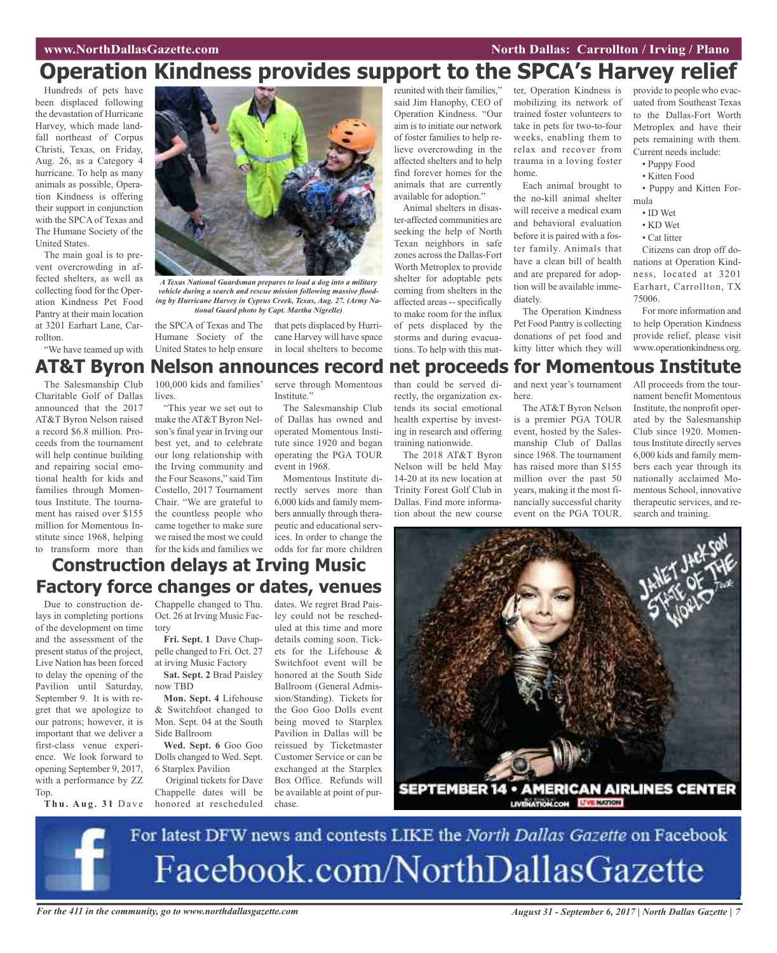#### **WAWRIGHT WAS SEXUAL SEXUAL SEXUAL SEXUAL SEXUAL SEXUAL SEXUAL SEXUAL SEXUAL SEXUAL SEXUAL SEXUAL SEXUAL SEXUAL SE**

### **Operation Kindness provides support to the SPCA's Harvey relief**

Hundreds of pets have been displaced following the devastation of Hurricane Harvey, which made landfall northeast of Corpus Christi, Texas, on Friday, Aug. 26, as a Category 4 hurricane. To help as many animals as possible, Operation Kindness is offering their support in conjunction with the SPCA of Texas and The Humane Society of the United States.

The main goal is to prevent overcrowding in affected shelters, as well as collecting food for the Operation Kindness Pet Food Pantry at their main location at 3201 Earhart Lane, Carrollton.

"We have teamed up with



*A Texas National Guardsman prepares to load a dog into a military vehicle during a search and rescue mission following massive flooding by Hurricane Harvey in Cyprus Creek, Texas, Aug. 27. (Army National Guard photo by Capt. Martha Nigrelle)*

the SPCA of Texas and The that pets displaced by Hurri-Humane Society of the United States to help ensure

cane Harvey will have space in local shelters to become

reunited with their families," said Jim Hanophy, CEO of Operation Kindness. "Our aim isto initiate our network of foster families to help relieve overcrowding in the affected shelters and to help find forever homes for the animals that are currently available for adoption."

Animal shelters in disaster-affected communities are seeking the help of North Texan neighbors in safe zones across the Dallas-Fort Worth Metroplex to provide shelter for adoptable pets coming from shelters in the affected areas -- specifically to make room for the influx of pets displaced by the storms and during evacuations. To help with this matter, Operation Kindness is mobilizing its network of trained foster volunteers to take in pets for two-to-four weeks, enabling them to relax and recover from trauma in a loving foster home.

Each animal brought to the no-kill animal shelter will receive a medical exam and behavioral evaluation before it is paired with a foster family. Animals that have a clean bill of health and are prepared for adoption will be available immediately.

The Operation Kindness Pet Food Pantry is collecting donations of pet food and kitty litter which they will

provide to people who evacuated from Southeast Texas to the Dallas-Fort Worth Metroplex and have their pets remaining with them. Current needs include:

- Puppy Food
- Kitten Food
- Puppy and Kitten Formula
	- ID Wet
	- KD Wet
- Cat litter

Citizens can drop off donations at Operation Kindness, located at 3201 Earhart, Carrollton, TX 75006.

For more information and to help Operation Kindness provide relief, please visit www.operationkindness.org.

### **AT&T Byron Nelson announces record net proceeds for Momentous Institute**

The Salesmanship Club Charitable Golf of Dallas announced that the 2017 AT&T Byron Nelson raised a record \$6.8 million. Proceeds from the tournament will help continue building and repairing social emotional health for kids and families through Momentous Institute. The tournament has raised over \$155 million for Momentous Institute since 1968, helping to transform more than

100,000 kids and families' lives.

"This year we set out to make the AT&T Byron Nelson's final year in Irving our best yet, and to celebrate our long relationship with the Irving community and the Four Seasons," said Tim Costello, 2017 Tournament Chair. "We are grateful to the countless people who came together to make sure we raised the most we could for the kids and families we

serve through Momentous Institute."

The Salesmanship Club of Dallas has owned and operated Momentous Institute since 1920 and began operating the PGA TOUR event in 1968.

Momentous Institute directly serves more than 6,000 kids and family members annually through therapeutic and educational services. In order to change the odds for far more children than could be served directly, the organization extends its social emotional health expertise by investing in research and offering training nationwide.

tion about the new course

The 2018 AT&T Byron Nelson will be held May 14-20 at its new location at Trinity Forest Golf Club in Dallas. Find more informa-

and next year's tournament here.

The AT&T Byron Nelson is a premier PGA TOUR event, hosted by the Salesmanship Club of Dallas since 1968. The tournament has raised more than \$155 million over the past 50 years, making it the most financially successful charity event on the PGA TOUR.

All proceeds from the tournament benefit Momentous Institute, the nonprofit operated by the Salesmanship Club since 1920. Momentous Institute directly serves 6,000 kids and family members each year through its nationally acclaimed Momentous School, innovative therapeutic services, and research and training.

### **Construction delays at Irving Music Factory force changes or dates, venues**

Due to construction delays in completing portions of the development on time and the assessment of the present status of the project, Live Nation has been forced to delay the opening of the Pavilion until Saturday, September 9. It is with regret that we apologize to our patrons; however, it is important that we deliver a first-class venue experience. We look forward to opening September 9, 2017, with a performance by ZZ Top.

**Th u . A u g . 3 1** D a v e

Chappelle changed to Thu. Oct. 26 at Irving Music Factory

**Fri. Sept. 1** Dave Chappelle changed to Fri. Oct. 27 at irving Music Factory

**Sat. Sept. 2** Brad Paisley now TBD

**Mon. Sept. 4** Lifehouse & Switchfoot changed to Mon. Sept. 04 at the South Side Ballroom

**Wed. Sept. 6** Goo Goo Dolls changed to Wed. Sept. 6 Starplex Pavilion

Original tickets for Dave Chappelle dates will be honored at rescheduled

dates. We regret Brad Paisley could not be rescheduled at this time and more details coming soon. Tickets for the Lifehouse & Switchfoot event will be honored at the South Side Ballroom (General Admission/Standing). Tickets for the Goo Goo Dolls event being moved to Starplex Pavilion in Dallas will be reissued by Ticketmaster Customer Service or can be exchanged at the Starplex Box Office. Refunds will be available at point of purchase.



For latest DFW news and contests LIKE the North Dallas Gazette on Facebook Facebook.com/NorthDallasGazette

For the 411 in the community, go to www.northdallasgazette.com August 31 - September 6, 2017 | North Dallas Gazette | 7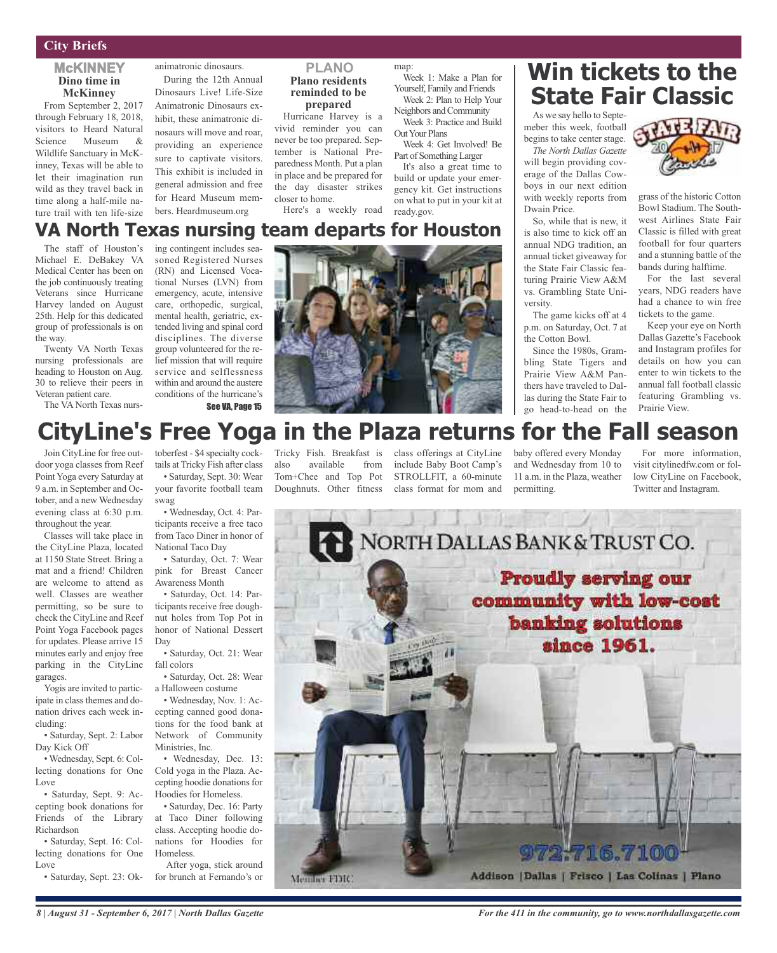#### **City Briefs**

#### **McKINNEY Dino time in McKinney**

From September 2, 2017 through February 18, 2018, visitors to Heard Natural Science Museum & Wildlife Sanctuary in McKinney, Texas will be able to let their imagination run wild as they travel back in time along a half-mile nature trail with ten life-size

animatronic dinosaurs.

During the 12th Annual Dinosaurs Live! Life-Size Animatronic Dinosaurs exhibit, these animatronic dinosaurs will move and roar, providing an experience sure to captivate visitors. This exhibit is included in general admission and free for Heard Museum members. Heardmuseum.org

#### **PLANO Plano residents reminded to be prepared**

Hurricane Harvey is a vivid reminder you can never be too prepared. September is National Preparedness Month. Put a plan in place and be prepared for the day disaster strikes closer to home.

Here's a weekly road

map: Week 1: Make a Plan for

> Yourself, Family and Friends Week 2: Plan to Help Your Neighbors and Community Week 3: Practice and Build

> Week 4: Get Involved! Be Part of SomethingLarger It's also a great time to build or update your emergency kit. Get instructions on what to put in your kit at

Out Your Plans

ready.gov.

### **Win tickets to the State Fair Classic**

As we say hello to Septemeber this week, football begins to take center stage.

*The North Dallas Gazette* will begin providing coverage of the Dallas Cowboys in our next edition with weekly reports from Dwain Price.

So, while that is new, it is also time to kick off an annual NDG tradition, an annual ticket giveaway for the State Fair Classic featuring Prairie View A&M vs. Grambling State University.

The game kicks off at 4 p.m. on Saturday, Oct. 7 at the Cotton Bowl.

Since the 1980s, Grambling State Tigers and Prairie View A&M Panthers have traveled to Dallas during the State Fair to go head-to-head on the

grass of the historic Cotton Bowl Stadium. The Southwest Airlines State Fair Classic is filled with great football for four quarters and a stunning battle of the bands during halftime.

For the last several years, NDG readers have had a chance to win free tickets to the game.

Keep your eye on North Dallas Gazette's Facebook and Instagram profiles for details on how you can enter to win tickets to the annual fall football classic featuring Grambling vs. Prairie View.

### **VA North Texas nursing team departs for Houston**

The staff of Houston's Michael E. DeBakey VA Medical Center has been on the job continuously treating Veterans since Hurricane Harvey landed on August 25th. Help for this dedicated group of professionals is on the way.

Twenty VA North Texas nursing professionals are heading to Houston on Aug. 30 to relieve their peers in Veteran patient care.

The VA North Texas nurs-

ing contingent includes seasoned Registered Nurses (RN) and Licensed Vocational Nurses (LVN) from emergency, acute, intensive care, orthopedic, surgical, mental health, geriatric, extended living and spinal cord disciplines. The diverse group volunteered for the relief mission that will require service and selflessness within and around the austere conditions of the hurricane's See VA, Page 15



### **CityLine's Free Yoga in the Plaza returns for the Fall season**

Join CityLine for free outdoor yoga classes from Reef Point Yoga every Saturday at 9 a.m. in September and October, and a new Wednesday evening class at 6:30 p.m. throughout the year.

Classes will take place in the CityLine Plaza, located at 1150 State Street. Bring a mat and a friend! Children are welcome to attend as well. Classes are weather permitting, so be sure to check the CityLine and Reef Point Yoga Facebook pages for updates. Please arrive 15 minutes early and enjoy free parking in the CityLine garages.

Yogis are invited to participate in class themes and donation drives each week including:

• Saturday, Sept. 2: Labor Day Kick Off

• Wednesday, Sept. 6: Collecting donations for One Love

• Saturday, Sept. 9: Accepting book donations for Friends of the Library Richardson

• Saturday, Sept. 16: Collecting donations for One Love

• Saturday, Sept. 23: Ok-

toberfest - \$4 specialty cock-Tricky Fish. Breakfast is class offerings at CityLine baby offered every Monday tails at Tricky Fish after class • Saturday, Sept. 30: Wear

your favorite football team swag

• Wednesday, Oct. 4: Participants receive a free taco from Taco Diner in honor of National Taco Day

• Saturday, Oct. 7: Wear pink for Breast Cancer Awareness Month

• Saturday, Oct. 14: Participants receive free doughnut holes from Top Pot in honor of National Dessert Day

• Saturday, Oct. 21: Wear fall colors

• Saturday, Oct. 28: Wear a Halloween costume

• Wednesday, Nov. 1: Accepting canned good donations for the food bank at Network of Community Ministries, Inc.

• Wednesday, Dec. 13: Cold yoga in the Plaza. Accepting hoodie donations for Hoodies for Homeless.

• Saturday, Dec. 16: Party at Taco Diner following class. Accepting hoodie donations for Hoodies for Homeless.

After yoga, stick around for brunch at Fernando's or also available from Tom+Chee and Top Pot Doughnuts. Other fitness

include Baby Boot Camp's STROLLFIT, a 60-minute class format for mom and

and Wednesday from 10 to 11 a.m. in the Plaza, weather permitting.

For more information, visit citylinedfw.com or follow CityLine on Facebook, Twitter and Instagram.





*8 | August 31 - September 6, 2017 | North Dallas Gazette*

*For the 411 in the community, go to www.northdallasgazette.com*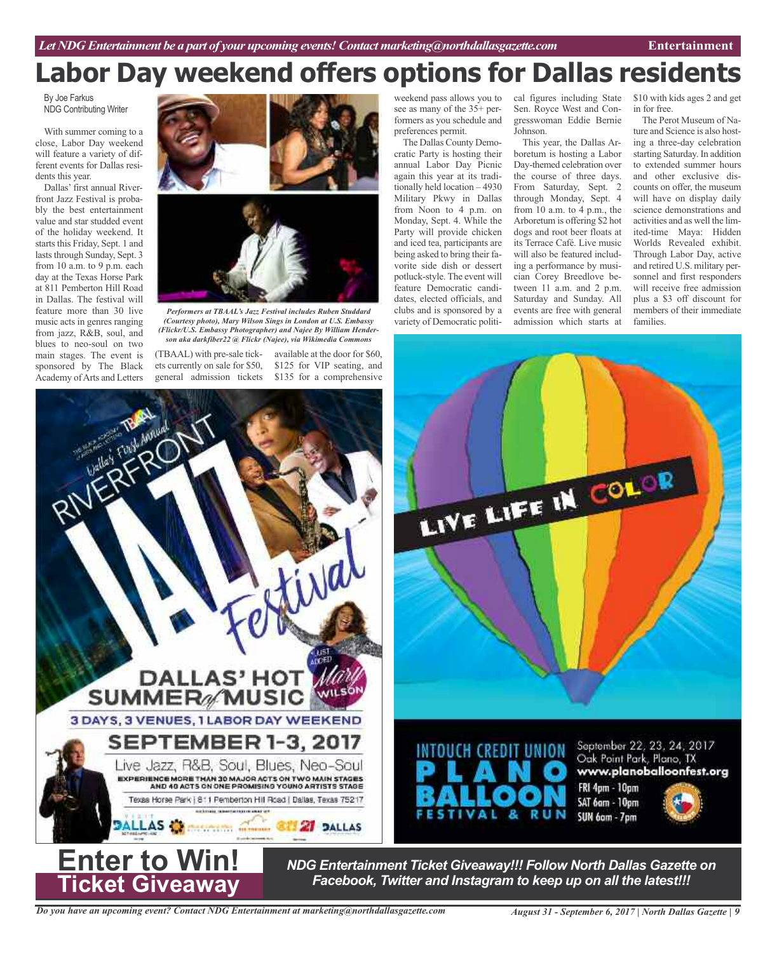# **Labor Day weekend offers options for Dallas residents**

By Joe Farkus NDG Contributing Writer

With summer coming to a close, Labor Day weekend will feature a variety of different events for Dallas residents this year.

Dallas' first annual Riverfront Jazz Festival is probably the best entertainment value and star studded event of the holiday weekend. It starts this Friday, Sept. 1 and lasts through Sunday, Sept. 3 from 10 a.m. to 9 p.m. each day at the Texas Horse Park at 811 Pemberton Hill Road in Dallas. The festival will feature more than 30 live music acts in genres ranging from jazz, R&B, soul, and blues to neo-soul on two main stages. The event is sponsored by The Black Academy ofArts and Letters





*Performers at TBAAL's Jazz Festival includes Ruben Studdard (Courtesy photo), Mary Wilson Sings in London at U.S. Embassy (Flickr/U.S. Embassy Photographer) and Najee By William Henderson aka darkfiber22 @ Flickr (Najee), via Wikimedia Commons*

(TBAAL) with pre-sale tickets currently on sale for \$50, general admission tickets

available at the door for \$60, \$125 for VIP seating, and \$135 for a comprehensive

weekend pass allows you to see as many of the 35+ performers as you schedule and preferences permit.

The Dallas County Democratic Party is hosting their annual Labor Day Picnic again this year at its traditionally held location – 4930 Military Pkwy in Dallas from Noon to 4 p.m. on Monday, Sept. 4. While the Party will provide chicken and iced tea, participants are being asked to bring their favorite side dish or dessert potluck-style. The event will feature Democratic candidates, elected officials, and clubs and is sponsored by a variety of Democratic politiSen. Royce West and Congresswoman Eddie Bernie Johnson.

This year, the Dallas Arboretum is hosting a Labor Day-themed celebration over the course of three days. From Saturday, Sept. 2 through Monday, Sept. 4 from 10 a.m. to 4 p.m., the Arboretum is offering \$2 hot dogs and root beer floats at its Terrace Café. Live music will also be featured including a performance by musician Corey Breedlove between 11 a.m. and 2 p.m. Saturday and Sunday. All events are free with general admission which starts at

cal figures including State \$10 with kids ages 2 and get in for free.

The Perot Museum of Nature and Science is also hosting a three-day celebration starting Saturday. In addition to extended summer hours and other exclusive discounts on offer, the museum will have on display daily science demonstrations and activities and as well the limited-time Maya: Hidden Worlds Revealed exhibit. Through Labor Day, active and retired U.S. military personnel and first responders will receive free admission plus a \$3 off discount for members of their immediate families.





*NDG Entertainment Ticket Giveaway!!! Follow North Dallas Gazette on Facebook, Twitter and Instagram to keep up on all the latest!!!*

*Do you have an upcoming event? Contact NDG Entertainment at marketing@northdallasgazette.com*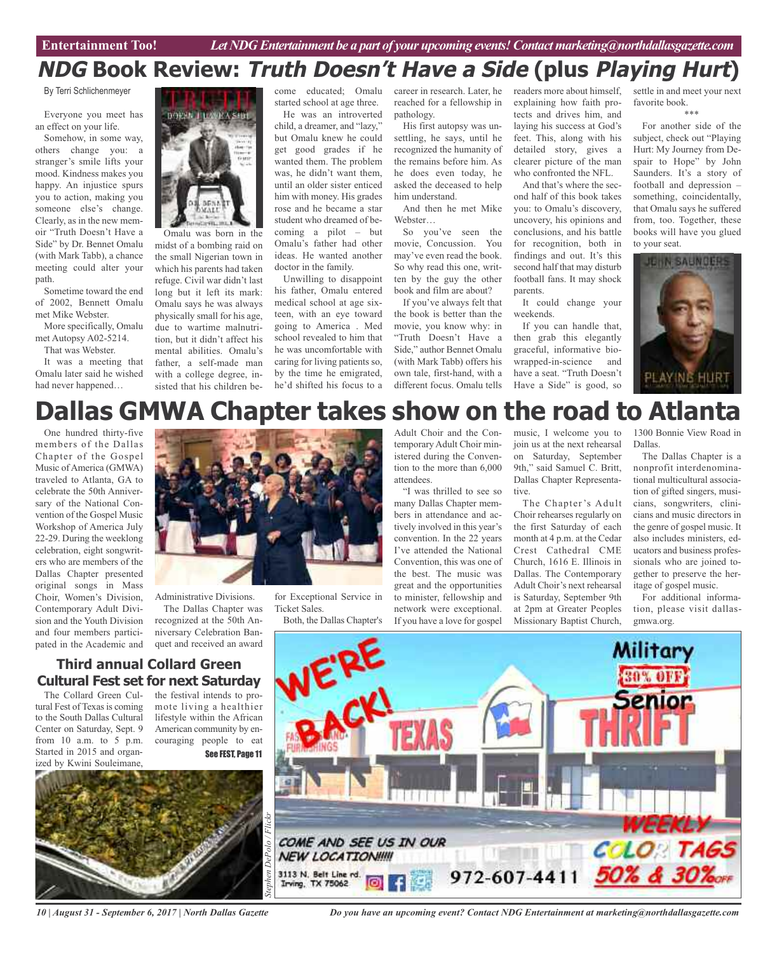### **NDG Book Review: Truth Doesn't Have <sup>a</sup> Side (plus Playing Hurt)**

By Terri Schlichenmeyer

Everyone you meet has an effect on your life.

Somehow, in some way, others change you: a stranger's smile lifts your mood. Kindness makes you happy. An injustice spurs you to action, making you someone else's change. Clearly, as in the new memoir "Truth Doesn't Have a Side" by Dr. Bennet Omalu (with Mark Tabb), a chance meeting could alter your path.

Sometime toward the end of 2002, Bennett Omalu met Mike Webster.

More specifically, Omalu met Autopsy A02-5214.

That was Webster.

It was a meeting that Omalu later said he wished had never happened…



midst of a bombing raid on the small Nigerian town in which his parents had taken refuge. Civil war didn't last long but it left its mark: Omalu says he was always physically small for his age, due to wartime malnutrition, but it didn't affect his mental abilities. Omalu's father, a self-made man with a college degree, insisted that his children be-

come educated; Omalu started school at age three.

He was an introverted child, a dreamer, and "lazy," but Omalu knew he could get good grades if he wanted them. The problem was, he didn't want them, until an older sister enticed him with money. His grades rose and he became a star student who dreamed of becoming a pilot – but Omalu's father had other ideas. He wanted another doctor in the family.

Unwilling to disappoint his father, Omalu entered medical school at age sixteen, with an eye toward going to America . Med school revealed to him that he was uncomfortable with caring for living patients so, by the time he emigrated, he'd shifted his focus to a

for Exceptional Service in

Both, the Dallas Chapter's

Ticket Sales.

career in research. Later, he reached for a fellowship in pathology.

His first autopsy was unsettling, he says, until he recognized the humanity of the remains before him. As he does even today, he asked the deceased to help him understand.

And then he met Mike Webster…

So you've seen the movie, Concussion. You may've even read the book. So why read this one, written by the guy the other book and film are about?

If you've always felt that the book is better than the movie, you know why: in "Truth Doesn't Have a Side," author Bennet Omalu (with Mark Tabb) offers his own tale, first-hand, with a different focus. Omalu tells

readers more about himself, explaining how faith protects and drives him, and laying his success at God's feet. This, along with his detailed story, gives a clearer picture of the man who confronted the NFL.

And that's where the second half of this book takes you: to Omalu's discovery, uncovery, his opinions and conclusions, and his battle for recognition, both in findings and out. It's this second half that may disturb football fans. It may shock parents.

It could change your weekends.

If you can handle that, then grab this elegantly graceful, informative biowrapped-in-science and have a seat. "Truth Doesn't Have a Side" is good, so

settle in and meet your next favorite book. \*\*\*

For another side of the subject, check out "Playing Hurt: My Journey from Despair to Hope" by John Saunders. It's a story of football and depression – something, coincidentally, that Omalu says he suffered from, too. Together, these books will have you glued to your seat.



# **Dallas GMWA Chapter takes show on the road to Atlanta**

One hundred thirty-five members of the Dallas Chapter of the Gospel Music ofAmerica (GMWA) traveled to Atlanta, GA to celebrate the 50th Anniversary of the National Convention of the Gospel Music Workshop of America July 22-29. During the weeklong celebration, eight songwriters who are members of the Dallas Chapter presented original songs in Mass Choir, Women's Division, Contemporary Adult Division and the Youth Division and four members participated in the Academic and



Administrative Divisions. The Dallas Chapter was recognized at the 50th Anniversary Celebration Banquet and received an award

### **Third annual Collard Green Cultural Fest set for next Saturday**

The Collard Green Cultural Fest of Texas is coming to the South Dallas Cultural Center on Saturday, Sept. 9 from 10 a.m. to 5 p.m. Started in 2015 and organized by Kwini Souleimane,

the festival intends to promote living a healthier lifestyle within the African American community by encouraging people to eat See FEST, Page 11



*10 | August 31 - September 6, 2017 | North Dallas Gazette*

Adult Choir and the Contemporary Adult Choir ministered during the Convention to the more than 6,000 attendees.

"I was thrilled to see so many Dallas Chapter members in attendance and actively involved in this year's convention. In the 22 years I've attended the National Convention, this was one of the best. The music was great and the opportunities to minister, fellowship and network were exceptional. If you have a love for gospel

music, I welcome you to join us at the next rehearsal on Saturday, September 9th," said Samuel C. Britt, Dallas Chapter Representative.

The Chapter's Adult Choir rehearses regularly on the first Saturday of each month at 4 p.m. at the Cedar Crest Cathedral CME Church, 1616 E. Illinois in Dallas. The Contemporary Adult Choir's next rehearsal is Saturday, September 9th at 2pm at Greater Peoples Missionary Baptist Church,

1300 Bonnie View Road in Dallas.

The Dallas Chapter is a nonprofit interdenominational multicultural association of gifted singers, musicians, songwriters, clinicians and music directors in the genre of gospel music. It also includes ministers, educators and business professionals who are joined together to preserve the heritage of gospel music.

For additional information, please visit dallasgmwa.org.



*Do you have an upcoming event? Contact NDG Entertainment at marketing@northdallasgazette.com*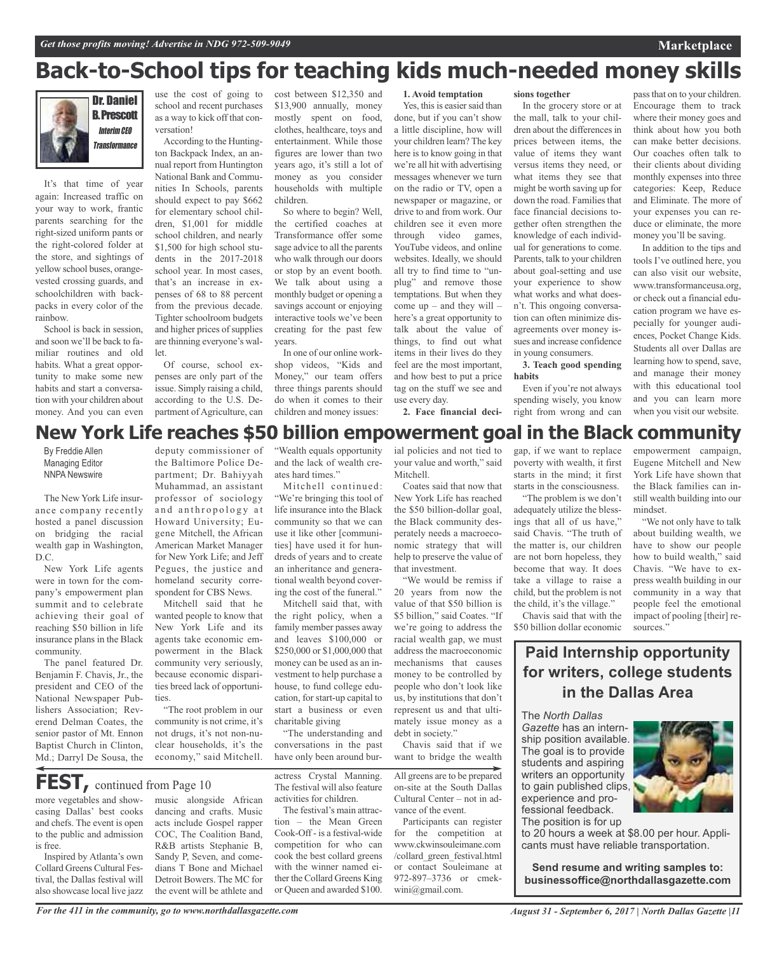### **Back-to-School tips for teaching kids much-needed money skills**



It's that time of year again: Increased traffic on your way to work, frantic parents searching for the right-sized uniform pants or the right-colored folder at the store, and sightings of yellow school buses, orangevested crossing guards, and schoolchildren with backpacks in every color of the rainbow.

School is back in session, and soon we'll be back to familiar routines and old habits. What a great opportunity to make some new habits and start a conversation with your children about money. And you can even

school and recent purchases as a way to kick off that conversation!

According to the Huntington Backpack Index, an annual report from Huntington National Bank and Communities In Schools, parents should expect to pay \$662 for elementary school children, \$1,001 for middle school children, and nearly \$1,500 for high school students in the 2017-2018 school year. In most cases, that's an increase in expenses of 68 to 88 percent from the previous decade. Tighter schoolroom budgets and higher prices of supplies are thinning everyone's wallet.

Of course, school expenses are only part of the issue. Simply raising a child, according to the U.S. Department of Agriculture, can

use the cost of going to cost between \$12,350 and \$13,900 annually, money mostly spent on food, clothes, healthcare, toys and entertainment. While those figures are lower than two years ago, it's still a lot of money as you consider households with multiple children.

> So where to begin? Well, the certified coaches at Transformance offer some sage advice to all the parents who walk through our doors or stop by an event booth. We talk about using a monthly budget or opening a savings account or enjoying interactive tools we've been creating for the past few years.

In one of our online workshop videos, "Kids and Money," our team offers three things parents should do when it comes to their children and money issues:

**1. Avoid temptation**

Yes, this is easier said than done, but if you can't show a little discipline, how will your children learn? The key here is to know going in that we're all hit with advertising messages whenever we turn on the radio or TV, open a newspaper or magazine, or drive to and from work. Our children see it even more through video games, YouTube videos, and online websites. Ideally, we should all try to find time to "unplug" and remove those temptations. But when they come  $up$  – and they will – here's a great opportunity to talk about the value of things, to find out what items in their lives do they feel are the most important, and how best to put a price tag on the stuff we see and use every day.

**2. Face financial deci-**

In the grocery store or at the mall, talk to your children about the differences in prices between items, the value of items they want versus items they need, or what items they see that might be worth saving up for down the road. Families that face financial decisions together often strengthen the knowledge of each individual for generations to come. Parents, talk to your children about goal-setting and use your experience to show what works and what doesn't. This ongoing conversation can often minimize disagreements over money issues and increase confidence in young consumers. **3. Teach good spending**

**sions together**

passthat on to your children. Encourage them to track where their money goes and think about how you both can make better decisions. Our coaches often talk to their clients about dividing monthly expenses into three categories: Keep, Reduce and Eliminate. The more of your expenses you can reduce or eliminate, the more money you'll be saving.

In addition to the tips and tools I've outlined here, you can also visit our website, www.transformanceusa.org, or check out a financial education program we have especially for younger audiences, Pocket Change Kids. Students all over Dallas are learning how to spend, save, and manage their money with this educational tool and you can learn more when you visit our website.

### deputy commissioner of **New York Life reaches \$50 billion empowerment goal in the Black community**

By Freddie Allen Managing Editor NNPA Newswire

The New York Life insurance company recently hosted a panel discussion on bridging the racial wealth gap in Washington, D.C.

New York Life agents were in town for the company's empowerment plan summit and to celebrate achieving their goal of reaching \$50 billion in life insurance plans in the Black community.

The panel featured Dr. Benjamin F. Chavis, Jr., the president and CEO of the National Newspaper Publishers Association; Reverend Delman Coates, the senior pastor of Mt. Ennon Baptist Church in Clinton, Md.; Darryl De Sousa, the the Baltimore Police Department; Dr. Bahiyyah Muhammad, an assistant professor of sociology and anthropology at Howard University; Eugene Mitchell, the African American Market Manager for New York Life; and Jeff Pegues, the justice and homeland security correspondent for CBS News.

Mitchell said that he wanted people to know that New York Life and its agents take economic empowerment in the Black community very seriously, because economic disparities breed lack of opportunities.

"The root problem in our community is not crime, it's not drugs, it's not non-nuclear households, it's the economy," said Mitchell.

more vegetables and show-**FEST,** continued from Page <sup>10</sup>

casing Dallas' best cooks and chefs. The event is open to the public and admission is free.

Inspired by Atlanta's own Collard Greens Cultural Festival, the Dallas festival will also showcase local live jazz music alongside African dancing and crafts. Music acts include Gospel rapper COC, The Coalition Band, R&B artists Stephanie B, Sandy P, Seven, and comedians T Bone and Michael Detroit Bowers. The MC for the event will be athlete and

"Wealth equals opportunity and the lack of wealth creates hard times."

Mitchell continued: "We're bringing this tool of life insurance into the Black community so that we can use it like other [communities] have used it for hundreds of years and to create an inheritance and generational wealth beyond covering the cost of the funeral."

Mitchell said that, with the right policy, when a family member passes away and leaves \$100,000 or \$250,000 or \$1,000,000 that money can be used as an investment to help purchase a house, to fund college education, for start-up capital to start a business or even charitable giving

"The understanding and conversations in the past have only been around bur-

actress Crystal Manning. The festival will also feature activities for children.

The festival's main attraction – the Mean Green Cook-Off - is a festival-wide competition for who can cook the best collard greens with the winner named either the Collard Greens King or Queen and awarded \$100.

ial policies and not tied to your value and worth," said Mitchell.

Coates said that now that New York Life has reached the \$50 billion-dollar goal, the Black community desperately needs a macroeconomic strategy that will help to preserve the value of that investment.

"We would be remiss if 20 years from now the value of that \$50 billion is \$5 billion," said Coates. "If we're going to address the racial wealth gap, we must address the macroeconomic mechanisms that causes money to be controlled by people who don't look like us, by institutions that don't represent us and that ultimately issue money as a debt in society."

Chavis said that if we want to bridge the wealth

All greens are to be prepared on-site at the South Dallas Cultural Center – not in advance of the event.

Participants can register for the competition at www.ckwinsouleimane.com /collard\_green\_festival.html or contact Souleimane at 972-897–3736 or cmekwini@gmail.com.

gap, if we want to replace poverty with wealth, it first starts in the mind; it first starts in the consciousness.

Even if you're not always spending wisely, you know right from wrong and can

**habits**

"The problem is we don't adequately utilize the blessings that all of us have," said Chavis. "The truth of the matter is, our children are not born hopeless, they become that way. It does take a village to raise a child, but the problem is not the child, it's the village."

Chavis said that with the \$50 billion dollar economic empowerment campaign, Eugene Mitchell and New York Life have shown that the Black families can instill wealth building into our mindset.

"We not only have to talk about building wealth, we have to show our people how to build wealth," said Chavis. "We have to express wealth building in our community in a way that people feel the emotional impact of pooling [their] resources."

**Paid Internship opportunity for writers, college students in the Dallas Area**

The *North Dallas*

*Gazette* has an internship position available. The goal is to provide students and aspiring writers an opportunity to gain published clips, experience and professional feedback.

The position is for up

to 20 hours a week at \$8.00 per hour. Applicants must have reliable transportation.

**Send resume and writing samples to: businessoffice@northdallasgazette.com**

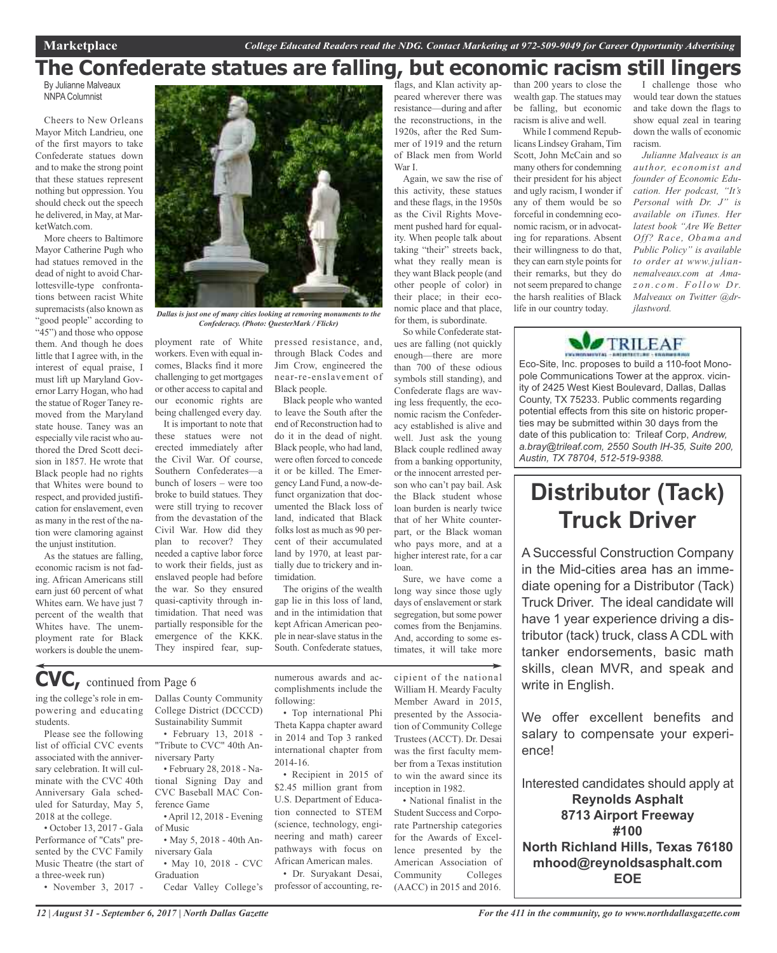### **The Confederate statues are falling, but economic racism still lingers**

By Julianne Malveaux NNPA Columnist

Cheers to New Orleans Mayor Mitch Landrieu, one of the first mayors to take Confederate statues down and to make the strong point that these statues represent nothing but oppression. You should check out the speech he delivered, in May, at MarketWatch.com.

More cheers to Baltimore Mayor Catherine Pugh who had statues removed in the dead of night to avoid Charlottesville-type confrontations between racist White supremacists(also known as "good people" according to "45") and those who oppose them. And though he does little that I agree with, in the interest of equal praise, I must lift up Maryland Governor Larry Hogan, who had the statue of Roger Taney removed from the Maryland state house. Taney was an especially vile racist who authored the Dred Scott decision in 1857. He wrote that Black people had no rights that Whites were bound to respect, and provided justification for enslavement, even as many in the rest of the nation were clamoring against the unjust institution.

As the statues are falling, economic racism is not fading. African Americans still earn just 60 percent of what Whites earn. We have just 7 percent of the wealth that Whites have. The unemployment rate for Black workers is double the unem-



*Dallas is just one of many cities looking at removing monuments to the Confederacy. (Photo: QuesterMark / Flickr)*

ployment rate of White workers. Even with equal incomes, Blacks find it more challenging to get mortgages or other access to capital and our economic rights are being challenged every day.

It is important to note that these statues were not erected immediately after the Civil War. Of course, Southern Confederates—a bunch of losers – were too broke to build statues. They were still trying to recover from the devastation of the Civil War. How did they plan to recover? They needed a captive labor force to work their fields, just as enslaved people had before the war. So they ensured quasi-captivity through intimidation. That need was partially responsible for the emergence of the KKK. They inspired fear, suppressed resistance, and, through Black Codes and Jim Crow, engineered the near-re-enslavement of Black people.

Black people who wanted to leave the South after the end of Reconstruction had to do it in the dead of night. Black people, who had land, were often forced to concede it or be killed. The Emergency Land Fund, a now-defunct organization that documented the Black loss of land, indicated that Black folks lost as much as 90 percent of their accumulated land by 1970, at least partially due to trickery and intimidation.

The origins of the wealth gap lie in this loss of land, and in the intimidation that kept African American people in near-slave status in the South. Confederate statues,

numerous awards and ac-

flags, and Klan activity appeared wherever there was resistance—during and after the reconstructions, in the 1920s, after the Red Summer of 1919 and the return of Black men from World War I.

Again, we saw the rise of this activity, these statues and these flags, in the 1950s as the Civil Rights Movement pushed hard for equality. When people talk about taking "their" streets back, what they really mean is they want Black people (and other people of color) in their place; in their economic place and that place, for them, is subordinate.

So while Confederate statues are falling (not quickly enough—there are more than 700 of these odious symbols still standing), and Confederate flags are waving less frequently, the economic racism the Confederacy established is alive and well. Just ask the young Black couple redlined away from a banking opportunity, or the innocent arrested person who can't pay bail. Ask the Black student whose loan burden is nearly twice that of her White counterpart, or the Black woman who pays more, and at a higher interest rate, for a car loan.

Sure, we have come a long way since those ugly days of enslavement or stark segregation, but some power comes from the Benjamins. And, according to some estimates, it will take more than 200 years to close the wealth gap. The statues may be falling, but economic racism is alive and well.

While I commend Republicans Lindsey Graham, Tim Scott, John McCain and so many others for condemning their president for his abject and ugly racism, I wonder if any of them would be so forceful in condemning economic racism, or in advocating for reparations. Absent their willingness to do that, they can earn style points for their remarks, but they do notseem prepared to change the harsh realities of Black life in our country today.

I challenge those who would tear down the statues and take down the flags to show equal zeal in tearing down the walls of economic racism.

*Julianne Malveaux is an author, economist and founder of Economic Education. Her podcast, "It's Personal with Dr. J" is available on iTunes. Her latest book "Are We Better Off? Race, Obama and Public Policy" is available to order at www.juliannemalveaux.com at Amaz o n . c o m . Fo l l ow D r. Malveaux on Twitter @drjlastword.*



Eco-Site, Inc. proposes to build a 110-foot Monopole Communications Tower at the approx. vicinity of 2425 West Kiest Boulevard, Dallas, Dallas County, TX 75233. Public comments regarding potential effects from this site on historic properties may be submitted within 30 days from the date of this publication to: Trileaf Corp, *Andrew, a.bray@trileaf.com, 2550 South IH-35, Suite 200, Austin, TX 78704, 512-519-9388.*

### **Distributor (Tack) Truck Driver**

A Successful Construction Company in the Mid-cities area has an immediate opening for a Distributor (Tack) Truck Driver. The ideal candidate will have 1 year experience driving a distributor (tack) truck, class A CDL with tanker endorsements, basic math skills, clean MVR, and speak and write in English.

We offer excellent benefits and salary to compensate your experience!

Interested candidates should apply at **Reynolds Asphalt 8713 Airport Freeway #100 North Richland Hills, Texas 76180 mhood@reynoldsasphalt.com EOE**

### **CVC,** continued from Page <sup>6</sup>

ing the college's role in empowering and educating students.

Please see the following list of official CVC events associated with the anniversary celebration. It will culminate with the CVC 40th Anniversary Gala scheduled for Saturday, May 5, 2018 at the college.

• October 13, 2017 - Gala Performance of "Cats" presented by the CVC Family Music Theatre (the start of a three-week run)

• November 3, 2017 -

Dallas County Community College District (DCCCD) Sustainability Summit

• February 13, 2018 - "Tribute to CVC" 40th Anniversary Party

• February 28, 2018 - National Signing Day and CVC Baseball MAC Conference Game •April 12, 2018 - Evening

of Music

• May 5, 2018 - 40th Anniversary Gala

• May 10, 2018 - CVC Graduation

Cedar Valley College's

complishments include the following: • Top international Phi Theta Kappa chapter award

in 2014 and Top 3 ranked international chapter from 2014-16. • Recipient in 2015 of

\$2.45 million grant from U.S. Department of Education connected to STEM (science, technology, engineering and math) career pathways with focus on African American males.

• Dr. Suryakant Desai, professor of accounting, recipient of the national William H. Meardy Faculty Member Award in 2015, presented by the Association of Community College Trustees (ACCT). Dr. Desai was the first faculty member from a Texas institution to win the award since its inception in 1982.

• National finalist in the Student Success and Corporate Partnership categories for the Awards of Excellence presented by the American Association of Community Colleges (AACC) in 2015 and 2016.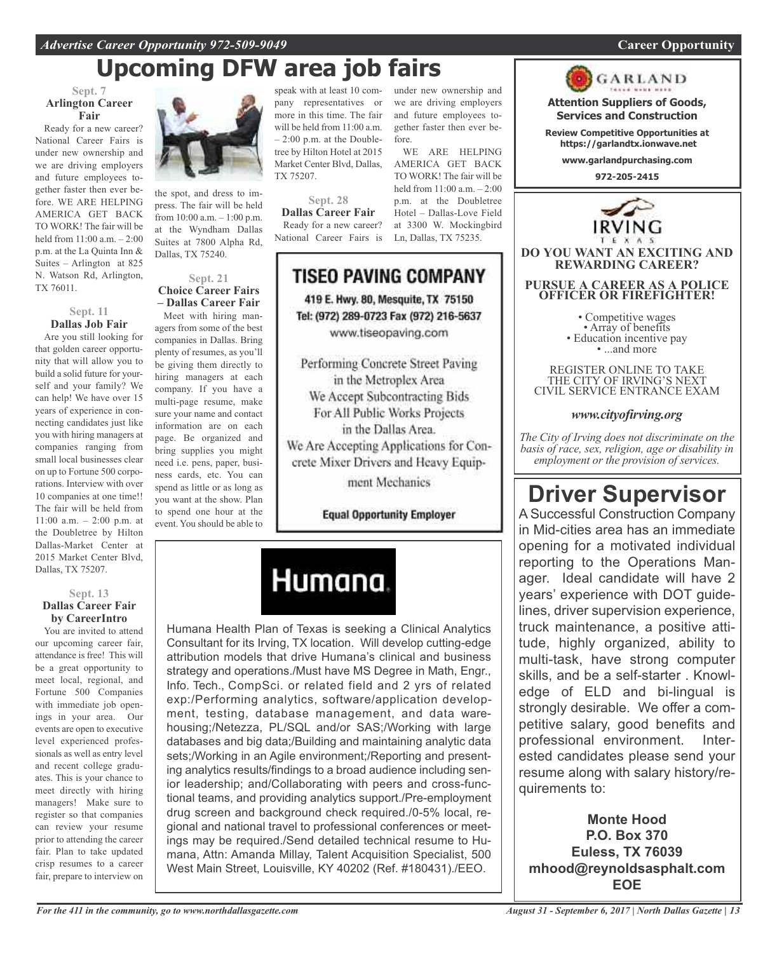### *Advertise Career Opportunity 972-509-9049* **Career Opportunity**

### **Upcoming DFW area job fairs**

#### **Sept. 7 Arlington Career Fair**

Ready for a new career? National Career Fairs is under new ownership and we are driving employers and future employees together faster then ever before. WE ARE HELPING AMERICA GET BACK TO WORK! The fair will be held from 11:00 a.m. – 2:00 p.m. at the La Quinta Inn & Suites – Arlington at 825 N. Watson Rd, Arlington, TX 76011.

#### **Sept. 11 Dallas Job Fair**

Are you still looking for that golden career opportunity that will allow you to build a solid future for yourself and your family? We can help! We have over 15 years of experience in connecting candidates just like you with hiring managers at companies ranging from small local businesses clear on up to Fortune 500 corporations. Interview with over 10 companies at one time!! The fair will be held from 11:00 a.m. – 2:00 p.m. at the Doubletree by Hilton Dallas-Market Center at 2015 Market Center Blvd, Dallas, TX 75207.

#### **Sept. 13 Dallas Career Fair by CareerIntro**

You are invited to attend our upcoming career fair, attendance is free! This will be a great opportunity to meet local, regional, and Fortune 500 Companies with immediate job openings in your area. Our events are open to executive level experienced professionals as well as entry level and recent college graduates. This is your chance to meet directly with hiring managers! Make sure to register so that companies can review your resume prior to attending the career fair. Plan to take updated crisp resumes to a career fair, prepare to interview on



the spot, and dress to impress. The fair will be held from 10:00 a.m. – 1:00 p.m. at the Wyndham Dallas Suites at 7800 Alpha Rd, Dallas, TX 75240.

#### **Sept. 21 Choice Career Fairs – Dallas Career Fair**

Meet with hiring managers from some of the best companies in Dallas. Bring plenty of resumes, as you'll be giving them directly to hiring managers at each company. If you have a multi-page resume, make sure your name and contact information are on each page. Be organized and bring supplies you might need i.e. pens, paper, business cards, etc. You can spend as little or as long as you want at the show. Plan to spend one hour at the event. You should be able to

speak with at least 10 company representatives or more in this time. The fair and future employees towill be held from 11:00 a.m. – 2:00 p.m. at the Doubletree by Hilton Hotel at 2015 Market Center Blvd, Dallas, TX 75207.

**Sept. 28 Dallas Career Fair** Ready for a new career? National Career Fairs is

under new ownership and we are driving employers gether faster then ever before. WE ARE HELPING

AMERICA GET BACK TO WORK! The fair will be held from  $11:00$  a.m.  $-2:00$ p.m. at the Doubletree Hotel – Dallas-Love Field at 3300 W. Mockingbird Ln, Dallas, TX 75235.

### TISEO PAVING COMPANY 419 E. Hwy. 80, Mesquite, TX 75150 Tel: (972) 289-0723 Fax (972) 216-5637

www.tiseopaving.com

Performing Concrete Street Paving in the Metroplex Area We Accept Subcontracting Bids For All Public Works Projects in the Dallas Area. We Are Accepting Applications for Concrete Mixer Drivers and Heavy Equipment Mechanics

**Equal Opportunity Employer** 



Humana Health Plan of Texas is seeking a Clinical Analytics Consultant for its Irving, TX location. Will develop cutting-edge attribution models that drive Humana's clinical and business strategy and operations./Must have MS Degree in Math, Engr., Info. Tech., CompSci. or related field and 2 yrs of related exp:/Performing analytics, software/application development, testing, database management, and data warehousing;/Netezza, PL/SQL and/or SAS;/Working with large databases and big data;/Building and maintaining analytic data sets;/Working in an Agile environment;/Reporting and presenting analytics results/findings to a broad audience including senior leadership; and/Collaborating with peers and cross-functional teams, and providing analytics support./Pre-employment drug screen and background check required./0-5% local, regional and national travel to professional conferences or meetings may be required./Send detailed technical resume to Humana, Attn: Amanda Millay, Talent Acquisition Specialist, 500 West Main Street, Louisville, KY 40202 (Ref. #180431)./EEO.

GARLAND **Attention Suppliers of Goods,**

**Services and Construction**

**Review Competitive Opportunities at https://garlandtx.ionwave.net**

**www.garlandpurchasing.com**

**972-205-2415**



**DO YOU WANT AN EXCITING AND REWARDING CAREER?**

**PURSUE A CAREER AS A POLICE OFFICER OR FIREFIGHTER!**

• Competitive wages<br>• Array of benefits<br>• Education incentive pay<br>• ...and more

REGISTER ONLINE TO TAKE THE CITY OF IRVING'S NEXT CIVIL SERVICE ENTRANCE EXAM

### *www.cityofirving.org*

*The City of Irving does not discriminate on the basis of race, sex, religion, age or disability in employment or the provision of services.*

## **Driver Supervisor**

A Successful Construction Company in Mid-cities area has an immediate opening for a motivated individual reporting to the Operations Manager. Ideal candidate will have 2 years' experience with DOT guidelines, driver supervision experience, truck maintenance, a positive attitude, highly organized, ability to multi-task, have strong computer skills, and be a self-starter . Knowledge of ELD and bi-lingual is strongly desirable. We offer a competitive salary, good benefits and professional environment. Interested candidates please send your resume along with salary history/requirements to:

**Monte Hood P.O. Box 370 Euless, TX 76039 mhood@reynoldsasphalt.com EOE**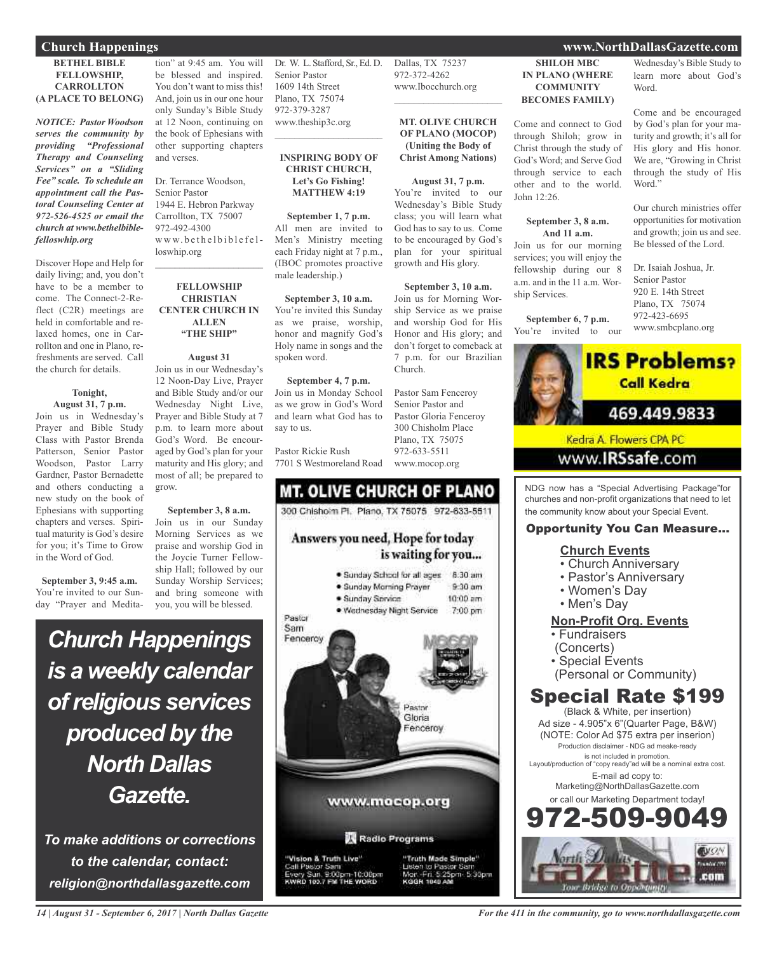### **Church Happenings www.NorthDallasGazette.com**

#### **BETHEL BIBLE FELLOWSHIP, CARROLLTON (A PLACE TO BELONG)**

*NOTICE: Pastor Woodson serves the community by providing "Professional Therapy and Counseling Services" on a "Sliding Fee" scale. To schedule an appointment call the Pastoral Counseling Center at 972-526-4525 or email the church at www.bethelbiblefelloswhip.org*

Discover Hope and Help for daily living; and, you don't have to be a member to come. The Connect-2-Reflect (C2R) meetings are held in comfortable and relaxed homes, one in Carrollton and one in Plano, refreshments are served. Call the church for details.

#### **Tonight,**

**August 31, 7 p.m.** Join us in Wednesday's Prayer and Bible Study Class with Pastor Brenda Patterson, Senior Pastor Woodson, Pastor Larry Gardner, Pastor Bernadette and others conducting a new study on the book of Ephesians with supporting chapters and verses. Spiritual maturity is God's desire for you; it's Time to Grow in the Word of God.

**September 3, 9:45 a.m.** You're invited to our Sunday "Prayer and Medita-

tion" at 9:45 am. You will be blessed and inspired. You don't want to miss this! And, join us in our one hour only Sunday's Bible Study at 12 Noon, continuing on the book of Ephesians with other supporting chapters and verses.

Dr. Terrance Woodson, Senior Pastor 1944 E. Hebron Parkway Carrollton, TX 75007 972-492-4300 www.bethelbiblefelloswhip.org

#### **FELLOWSHIP CHRISTIAN CENTER CHURCH IN ALLEN "THE SHIP"**

 $\mathcal{L}_\text{max}$  , which is a set of the set of the set of the set of the set of the set of the set of the set of the set of the set of the set of the set of the set of the set of the set of the set of the set of the set of

### **August 31** Join us in our Wednesday's

12 Noon-Day Live, Prayer and Bible Study and/or our Wednesday Night Live, Prayer and Bible Study at 7 p.m. to learn more about God's Word. Be encouraged by God's plan for your maturity and His glory; and most of all; be prepared to grow.

#### **September 3, 8 a.m.**

Join us in our Sunday Morning Services as we praise and worship God in the Joycie Turner Fellowship Hall; followed by our Sunday Worship Services; and bring someone with you, you will be blessed.

## *Church Happenings is a weekly calendar ofreligious services produced by the North Dallas Gazette.*

*To make additions or corrections to the calendar, contact: religion@northdallasgazette.com*

Dr. W. L. Stafford, Sr., Ed. D. Senior Pastor 1609 14th Street Plano, TX 75074 972-379-3287 www.theship3c.org

#### **INSPIRING BODY OF CHRIST CHURCH, Let's Go Fishing! MATTHEW 4:19**

 $\overline{\phantom{a}}$  , which is a set of the set of the set of the set of the set of the set of the set of the set of the set of the set of the set of the set of the set of the set of the set of the set of the set of the set of th

**September 1, 7 p.m.** All men are invited to Men's Ministry meeting each Friday night at 7 p.m., (IBOC promotes proactive male leadership.)

**September 3, 10 a.m.** You're invited this Sunday as we praise, worship, honor and magnify God's Holy name in songs and the spoken word.

**September 4, 7 p.m.** Join us in Monday School as we grow in God's Word and learn what God has to say to us.

Pastor Rickie Rush 7701 S Westmoreland Road

### **MT. OLIVE CHURCH OF PLANO** 300 Chishoim Pl. Plano, TX 75075 972-633-5511 Answers you need, Hope for today

### is waiting for you... · Sunday School for all ages 8:30 am · Sunday Morning Prayer  $9-30$  am · Sunday Service  $10:00$  am · Wednesday Night Service 7:00 pm Pastor Sam Fenceroy Pastor Gloria enceroy www.mocop.org Radio Programs 'Vision & Truth Live" "Truth Made Simple" Pastor Sam<br>y Sun, 9:00pm-10:00pm<br>to 1es.7 PM THE WORD 5:30pm KODN 1040 AL

### www.Ibocchurch.org  $\overline{\phantom{a}}$  , and the set of the set of the set of the set of the set of the set of the set of the set of the set of the set of the set of the set of the set of the set of the set of the set of the set of the set of the s

#### **MT. OLIVE CHURCH OF PLANO (MOCOP) (Uniting the Body of Christ Among Nations)**

Dallas, TX 75237 972-372-4262

#### **August 31, 7 p.m.**

You're invited to our Wednesday's Bible Study class; you will learn what God has to say to us. Come to be encouraged by God's plan for your spiritual growth and His glory.

#### **September 3, 10 a.m.**

Join us for Morning Worship Service as we praise and worship God for His Honor and His glory; and don't forget to comeback at 7 p.m. for our Brazilian Church.

Pastor Sam Fenceroy Senior Pastor and Pastor Gloria Fenceroy 300 Chisholm Place Plano, TX 75075 972-633-5511 www.mocop.org

**SHILOH MBC IN PLANO (WHERE COMMUNITY BECOMES FAMILY)**

Come and connect to God through Shiloh; grow in Christ through the study of God's Word; and Serve God through service to each other and to the world. John 12:26.

#### **September 3, 8 a.m. And 11 a.m.**

Join us for our morning services; you will enjoy the fellowship during our 8 a.m. and in the 11 a.m. Worship Services.

**September 6, 7 p.m.** You're invited to our

#### Wednesday's Bible Study to learn more about God's Word.

Come and be encouraged by God's plan for your maturity and growth; it's all for His glory and His honor. We are, "Growing in Christ through the study of His Word."

Our church ministries offer opportunities for motivation and growth; join us and see. Be blessed of the Lord.

Dr. Isaiah Joshua, Jr. Senior Pastor 920 E. 14th Street Plano, TX 75074 972-423-6695 www.smbcplano.org



NDG now has a "Special Advertising Package"for churches and non-profit organizations that need to let the community know about your Special Event.

### Opportunity You Can Measure...

### **Church Events**

- Church Anniversary
- Pastor's Anniversary
- Women's Day
- Men's Day

### **Non-Profit Org. Events**

- Fundraisers
- (Concerts)
- Special Events
- (Personal or Community)

### Special Rate \$199

(Black & White, per insertion) Ad size - 4.905"x 6"(Quarter Page, B&W) (NOTE: Color Ad \$75 extra per inserion) Production disclaimer - NDG ad meake-ready is not included in promotion. Layout/production of "copy ready"ad will be a nominal extra cost. E-mail ad copy to: Marketing@NorthDallasGazette.com or call our Marketing Department today! -509-9



*14 | August 31 - September 6, 2017 | North Dallas Gazette*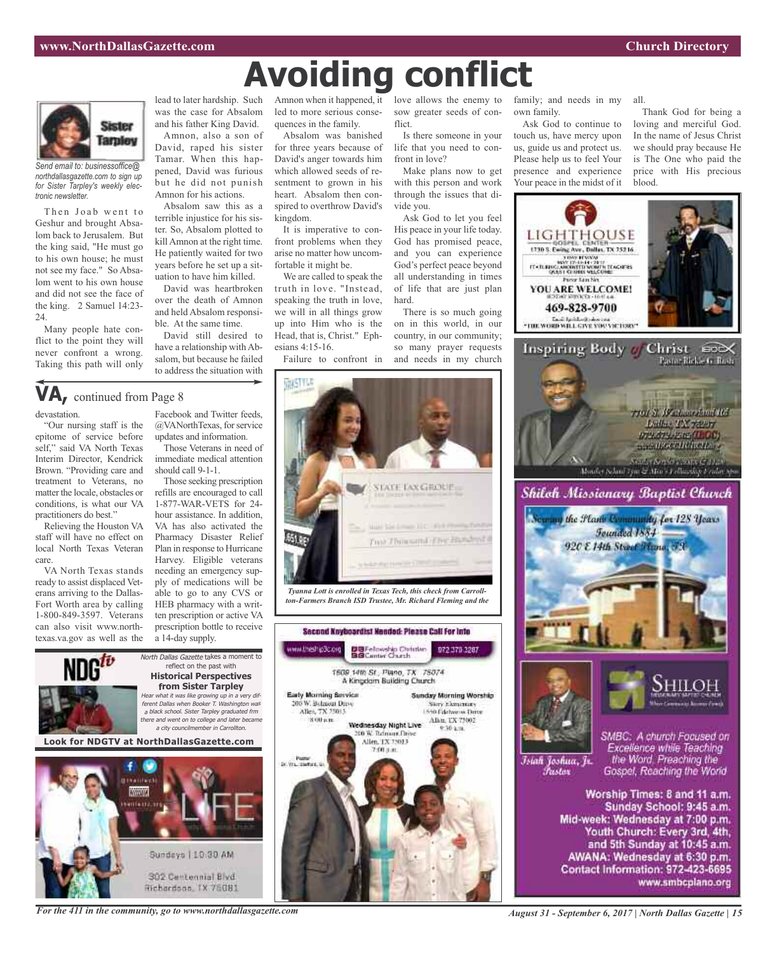all.

blood.



*Send email to: businessoffice@ northdallasgazette.com to sign up for Sister Tarpley's weekly electronic newsletter.*

Then Joab went to Geshur and brought Absalom back to Jerusalem. But the king said, "He must go to his own house; he must not see my face." So Absalom went to his own house and did not see the face of the king. 2 Samuel 14:23- 24.

Many people hate conflict to the point they will never confront a wrong. Taking this path will only

lead to later hardship. Such was the case for Absalom and his father King David. Amnon, also a son of David, raped his sister Tamar. When this happened, David was furious but he did not punish Amnon for his actions.

Absalom saw this as a terrible injustice for his sister. So, Absalom plotted to kill Amnon at the right time. He patiently waited for two years before he set up a situation to have him killed.

David was heartbroken over the death of Amnon and held Absalom responsible. At the same time.

David still desired to have a relationship with Absalom, but because he failed to address the situation with

led to more serious consequences in the family.

**Avoiding conflict**

Absalom was banished for three years because of David's anger towards him which allowed seeds of resentment to grown in his heart. Absalom then conspired to overthrow David's kingdom.

It is imperative to confront problems when they arise no matter how uncomfortable it might be.

We are called to speak the truth in love. "Instead, speaking the truth in love, we will in all things grow up into Him who is the Head, that is, Christ." Ephesians 4:15-16.

Failure to confront in

produ technik

Early Morning Bervice

200 W. Belasout Drive Allen, TX 25013

2000 a.m.

Page<br>Dr. Wa, 1945an, 9

Amnon when it happened, it love allows the enemy to sow greater seeds of conflict.

Is there someone in your life that you need to confront in love?

Make plans now to get with this person and work through the issues that divide you.

Ask God to let you feel His peace in your life today. God has promised peace, and you can experience God's perfect peace beyond all understanding in times of life that are just plan hard.

There is so much going on in this world, in our country, in our community; so many prayer requests and needs in my church

family; and needs in my own family.

Ask God to continue to touch us, have mercy upon us, guide us and protect us. Please help us to feel Your presence and experience Your peace in the midst of it

Thank God for being a loving and merciful God. In the name of Jesus Christ we should pray because He is The One who paid the price with His precious



Sunday School: 9:45 a.m. Mid-week: Wednesday at 7:00 p.m. Youth Church: Every 3rd, 4th, and 5th Sunday at 10:45 a.m. AWANA: Wednesday at 6:30 p.m. Contact Information: 972-423-6695 www.smbcplano.org

### **VA,** continued from Page <sup>8</sup>

devastation.

"Our nursing staff is the epitome of service before self," said VA North Texas Interim Director, Kendrick Brown. "Providing care and treatment to Veterans, no matter the locale, obstacles or conditions, is what our VA practitioners do best."

Relieving the Houston VA staff will have no effect on local North Texas Veteran care.

VA North Texas stands ready to assist displaced Veterans arriving to the Dallas-Fort Worth area by calling 1-800-849-3597. Veterans can also visit www.northtexas.va.gov as well as the

#### Facebook and Twitter feeds, @VANorthTexas, for service updates and information.

Those Veterans in need of immediate medical attention should call 9-1-1.

Those seeking prescription refills are encouraged to call 1-877-WAR-VETS for 24 hour assistance. In addition, VA has also activated the Pharmacy Disaster Relief Plan in response to Hurricane Harvey. Eligible veterans needing an emergency supply of medications will be able to go to any CVS or HEB pharmacy with a written prescription or active VA prescription bottle to receive a 14-day supply.



Hichardson, IX 75081

*For the 411 in the community, go to www.northdallasgazette.com*





DBFelowship Christian<br>BBCanter Church

1609 14th St., Plano, TX 75074 A Kinodam Building Church

Wednesday Night Live

200 W. Talmant Drive

Allen, TX 75013

972.379.3287

**Sunday Murning Worship** Sary Elementary<br>1550 Edebarus Duve

Alia, TX 73002

30.4.38